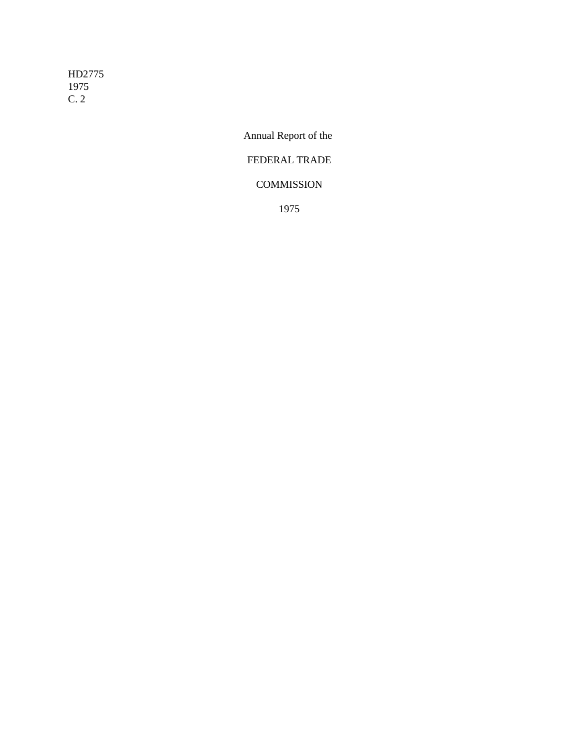HD2775 1975 C. 2

Annual Report of the

# FEDERAL TRADE

# **COMMISSION**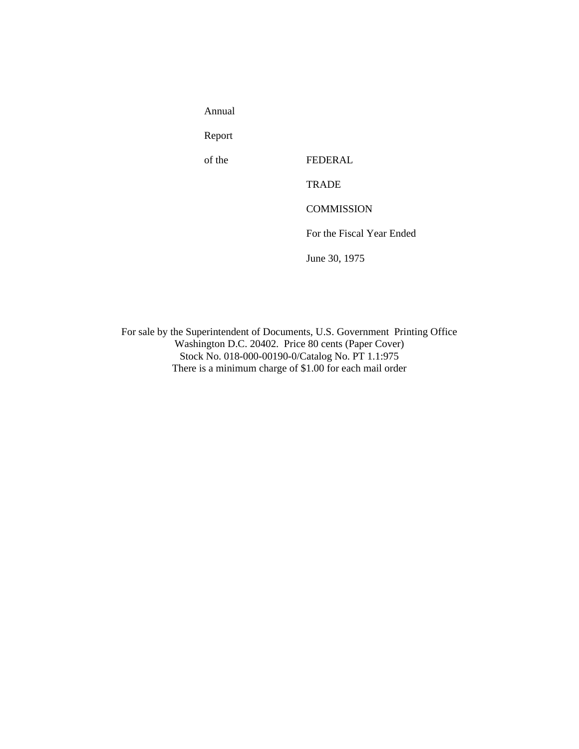Annual

Report

of the FEDERAL

**TRADE** 

**COMMISSION** 

For the Fiscal Year Ended

June 30, 1975

For sale by the Superintendent of Documents, U.S. Government Printing Office Washington D.C. 20402. Price 80 cents (Paper Cover) Stock No. 018-000-00190-0/Catalog No. PT 1.1:975 There is a minimum charge of \$1.00 for each mail order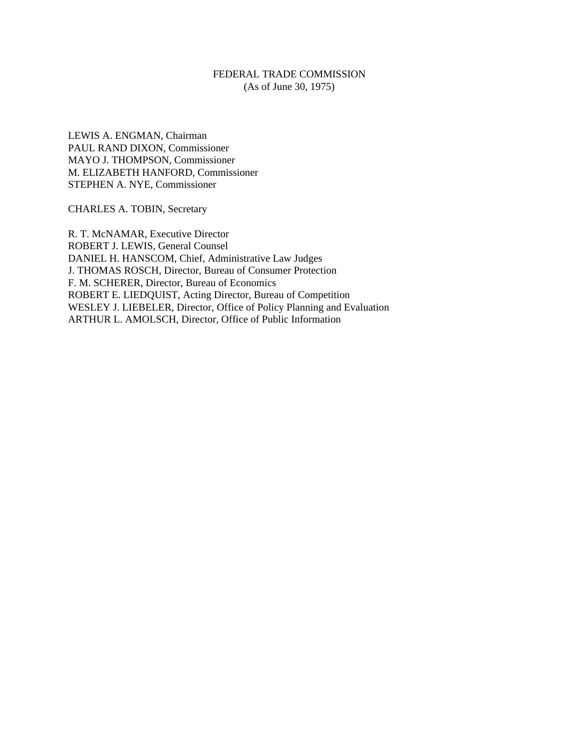# FEDERAL TRADE COMMISSION (As of June 30, 1975)

LEWIS A. ENGMAN, Chairman PAUL RAND DIXON, Commissioner MAYO J. THOMPSON, Commissioner M. ELIZABETH HANFORD, Commissioner STEPHEN A. NYE, Commissioner

CHARLES A. TOBIN, Secretary

R. T. McNAMAR, Executive Director ROBERT J. LEWIS, General Counsel DANIEL H. HANSCOM, Chief, Administrative Law Judges J. THOMAS ROSCH, Director, Bureau of Consumer Protection F. M. SCHERER, Director, Bureau of Economics ROBERT E. LIEDQUIST, Acting Director, Bureau of Competition WESLEY J. LIEBELER, Director, Office of Policy Planning and Evaluation ARTHUR L. AMOLSCH, Director, Office of Public Information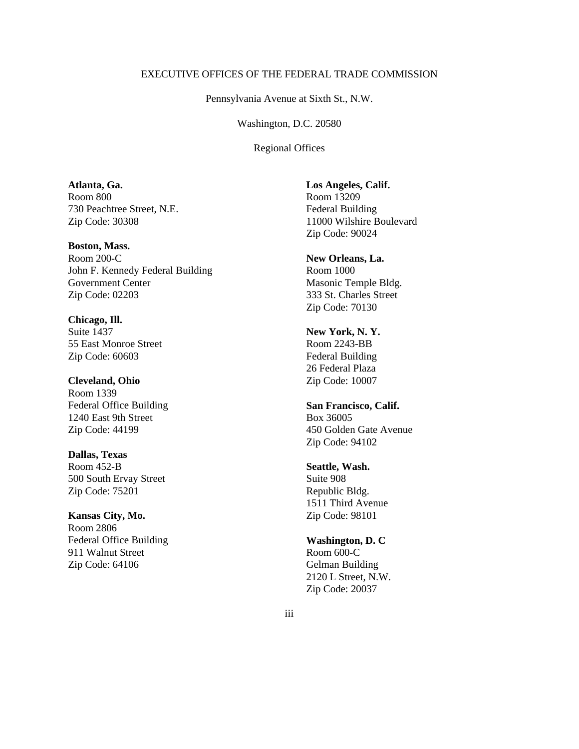# EXECUTIVE OFFICES OF THE FEDERAL TRADE COMMISSION

Pennsylvania Avenue at Sixth St., N.W.

Washington, D.C. 20580

Regional Offices

**Atlanta, Ga.** Room 800 730 Peachtree Street, N.E. Zip Code: 30308

**Boston, Mass.** Room 200-C John F. Kennedy Federal Building Government Center Zip Code: 02203

**Chicago, Ill.** Suite 1437 55 East Monroe Street Zip Code: 60603

**Cleveland, Ohio** Room 1339 Federal Office Building 1240 East 9th Street Zip Code: 44199

**Dallas, Texas** Room 452-B 500 South Ervay Street Zip Code: 75201

**Kansas City, Mo.** Room 2806 Federal Office Building 911 Walnut Street Zip Code: 64106

**Los Angeles, Calif.** Room 13209 Federal Building 11000 Wilshire Boulevard Zip Code: 90024

**New Orleans, La.** Room 1000 Masonic Temple Bldg. 333 St. Charles Street Zip Code: 70130

**New York, N. Y.** Room 2243-BB Federal Building 26 Federal Plaza Zip Code: 10007

**San Francisco, Calif.** Box 36005 450 Golden Gate Avenue Zip Code: 94102

**Seattle, Wash.** Suite 908 Republic Bldg. 1511 Third Avenue Zip Code: 98101

**Washington, D. C** Room 600-C Gelman Building 2120 L Street, N.W. Zip Code: 20037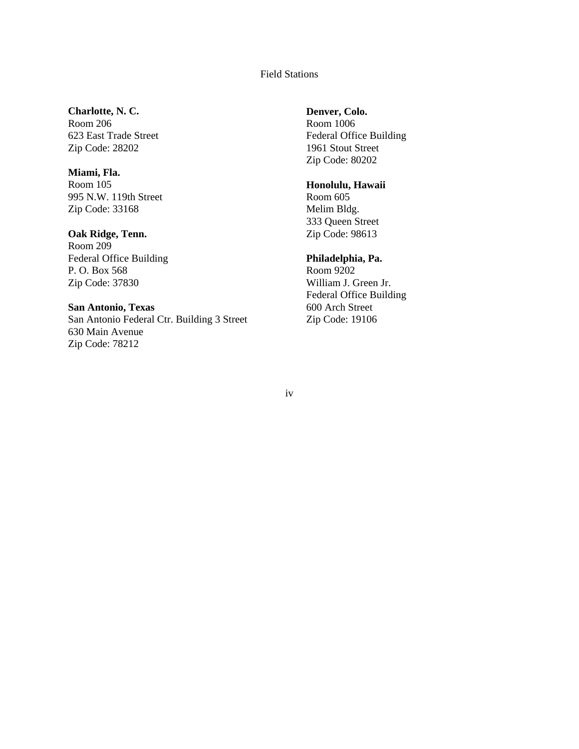# Field Stations

# **Charlotte, N. C.**

Room 206 623 East Trade Street Zip Code: 28202

# **Miami, Fla.**

Room 105 995 N.W. 119th Street Zip Code: 33168

# **Oak Ridge, Tenn.**

Room 209 Federal Office Building P. O. Box 568 Zip Code: 37830

# **San Antonio, Texas**

San Antonio Federal Ctr. Building 3 Street 630 Main Avenue Zip Code: 78212

# **Denver, Colo.**

Room 1006 Federal Office Building 1961 Stout Street Zip Code: 80202

# **Honolulu, Hawaii**

Room 605 Melim Bldg. 333 Queen Street Zip Code: 98613

# **Philadelphia, Pa.**

Room 9202 William J. Green Jr. Federal Office Building 600 Arch Street Zip Code: 19106

# iv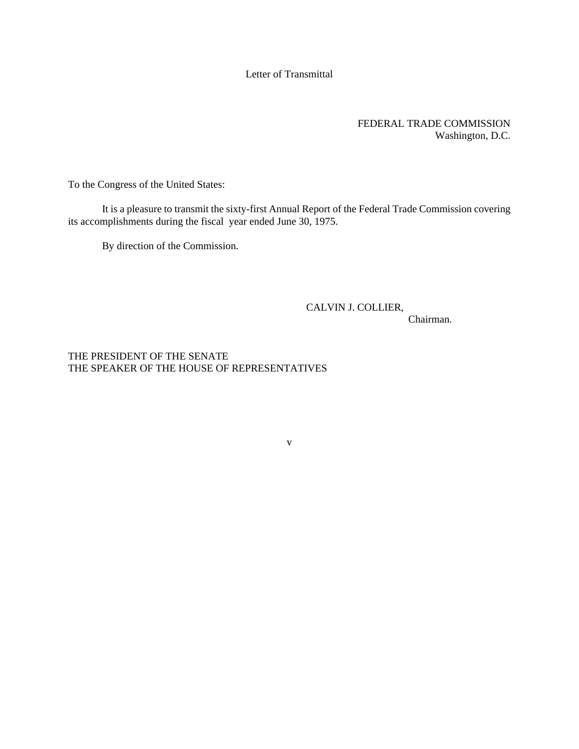# Letter of Transmittal

# FEDERAL TRADE COMMISSION Washington, D.C.

To the Congress of the United States:

It is a pleasure to transmit the sixty-first Annual Report of the Federal Trade Commission covering its accomplishments during the fiscal year ended June 30, 1975.

v

By direction of the Commission.

# CALVIN J. COLLIER,

Chairman.

THE PRESIDENT OF THE SENATE THE SPEAKER OF THE HOUSE OF REPRESENTATIVES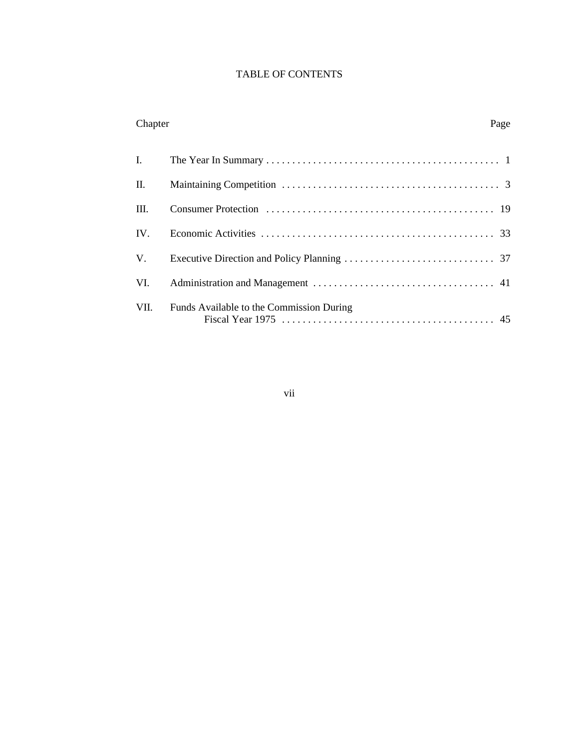# TABLE OF CONTENTS

# Chapter Page

| $\mathbf{I}$ . |                                          |  |
|----------------|------------------------------------------|--|
| П.             |                                          |  |
| Ш.             |                                          |  |
| IV.            |                                          |  |
|                |                                          |  |
| VI.            |                                          |  |
| VII.           | Funds Available to the Commission During |  |

vii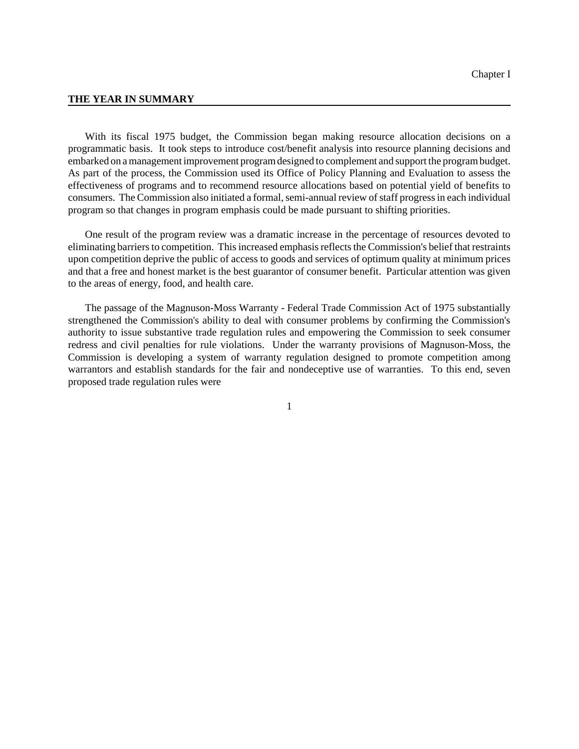#### **THE YEAR IN SUMMARY**

With its fiscal 1975 budget, the Commission began making resource allocation decisions on a programmatic basis. It took steps to introduce cost/benefit analysis into resource planning decisions and embarked on amanagement improvement programdesigned to complement and support the programbudget. As part of the process, the Commission used its Office of Policy Planning and Evaluation to assess the effectiveness of programs and to recommend resource allocations based on potential yield of benefits to consumers. The Commission also initiated a formal, semi-annual review of staff progress in each individual program so that changes in program emphasis could be made pursuant to shifting priorities.

One result of the program review was a dramatic increase in the percentage of resources devoted to eliminating barriersto competition. This increased emphasis reflects the Commission's belief that restraints upon competition deprive the public of access to goods and services of optimum quality at minimum prices and that a free and honest market is the best guarantor of consumer benefit. Particular attention was given to the areas of energy, food, and health care.

The passage of the Magnuson-Moss Warranty - Federal Trade Commission Act of 1975 substantially strengthened the Commission's ability to deal with consumer problems by confirming the Commission's authority to issue substantive trade regulation rules and empowering the Commission to seek consumer redress and civil penalties for rule violations. Under the warranty provisions of Magnuson-Moss, the Commission is developing a system of warranty regulation designed to promote competition among warrantors and establish standards for the fair and nondeceptive use of warranties. To this end, seven proposed trade regulation rules were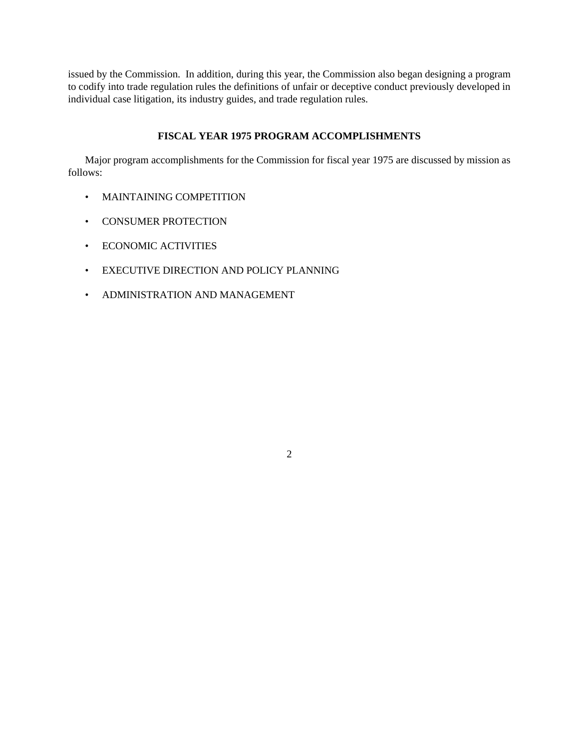issued by the Commission. In addition, during this year, the Commission also began designing a program to codify into trade regulation rules the definitions of unfair or deceptive conduct previously developed in individual case litigation, its industry guides, and trade regulation rules.

# **FISCAL YEAR 1975 PROGRAM ACCOMPLISHMENTS**

Major program accomplishments for the Commission for fiscal year 1975 are discussed by mission as follows:

- MAINTAINING COMPETITION
- CONSUMER PROTECTION
- ECONOMIC ACTIVITIES
- EXECUTIVE DIRECTION AND POLICY PLANNING
- ADMINISTRATION AND MANAGEMENT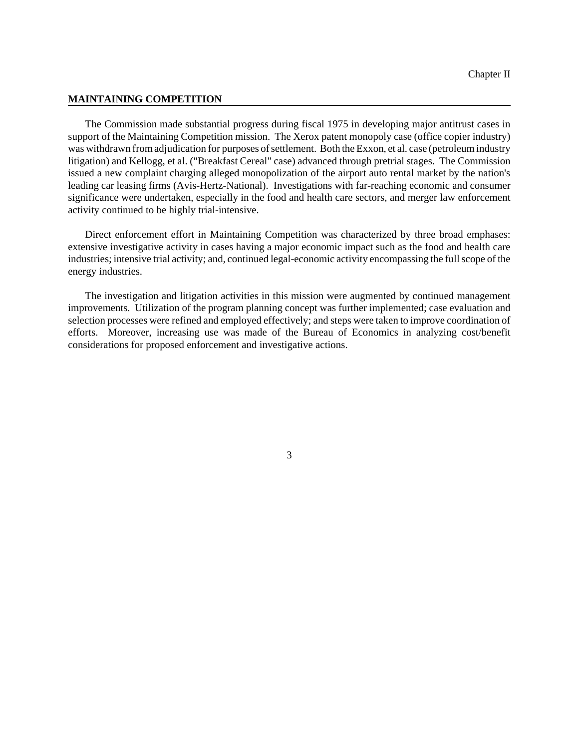### **MAINTAINING COMPETITION**

The Commission made substantial progress during fiscal 1975 in developing major antitrust cases in support of the Maintaining Competition mission. The Xerox patent monopoly case (office copier industry) was withdrawn from adjudication for purposes of settlement. Both the Exxon, et al. case (petroleum industry litigation) and Kellogg, et al. ("Breakfast Cereal" case) advanced through pretrial stages. The Commission issued a new complaint charging alleged monopolization of the airport auto rental market by the nation's leading car leasing firms (Avis-Hertz-National). Investigations with far-reaching economic and consumer significance were undertaken, especially in the food and health care sectors, and merger law enforcement activity continued to be highly trial-intensive.

Direct enforcement effort in Maintaining Competition was characterized by three broad emphases: extensive investigative activity in cases having a major economic impact such as the food and health care industries; intensive trial activity; and, continued legal-economic activity encompassing the full scope of the energy industries.

The investigation and litigation activities in this mission were augmented by continued management improvements. Utilization of the program planning concept was further implemented; case evaluation and selection processes were refined and employed effectively; and steps were taken to improve coordination of efforts. Moreover, increasing use was made of the Bureau of Economics in analyzing cost/benefit considerations for proposed enforcement and investigative actions.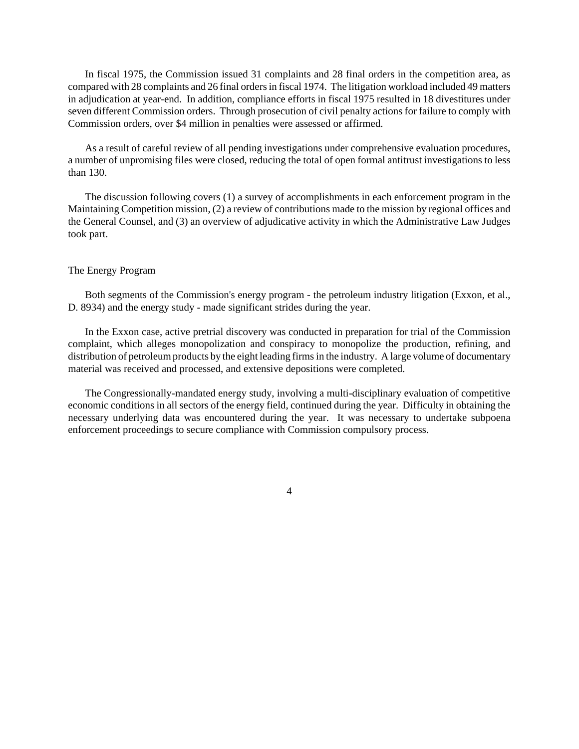In fiscal 1975, the Commission issued 31 complaints and 28 final orders in the competition area, as compared with 28 complaints and 26 final ordersin fiscal 1974. The litigation workload included 49 matters in adjudication at year-end. In addition, compliance efforts in fiscal 1975 resulted in 18 divestitures under seven different Commission orders. Through prosecution of civil penalty actions for failure to comply with Commission orders, over \$4 million in penalties were assessed or affirmed.

As a result of careful review of all pending investigations under comprehensive evaluation procedures, a number of unpromising files were closed, reducing the total of open formal antitrust investigations to less than 130.

The discussion following covers (1) a survey of accomplishments in each enforcement program in the Maintaining Competition mission, (2) a review of contributions made to the mission by regional offices and the General Counsel, and (3) an overview of adjudicative activity in which the Administrative Law Judges took part.

# The Energy Program

Both segments of the Commission's energy program - the petroleum industry litigation (Exxon, et al., D. 8934) and the energy study - made significant strides during the year.

In the Exxon case, active pretrial discovery was conducted in preparation for trial of the Commission complaint, which alleges monopolization and conspiracy to monopolize the production, refining, and distribution of petroleum products by the eight leading firms in the industry. A large volume of documentary material was received and processed, and extensive depositions were completed.

The Congressionally-mandated energy study, involving a multi-disciplinary evaluation of competitive economic conditions in all sectors of the energy field, continued during the year. Difficulty in obtaining the necessary underlying data was encountered during the year. It was necessary to undertake subpoena enforcement proceedings to secure compliance with Commission compulsory process.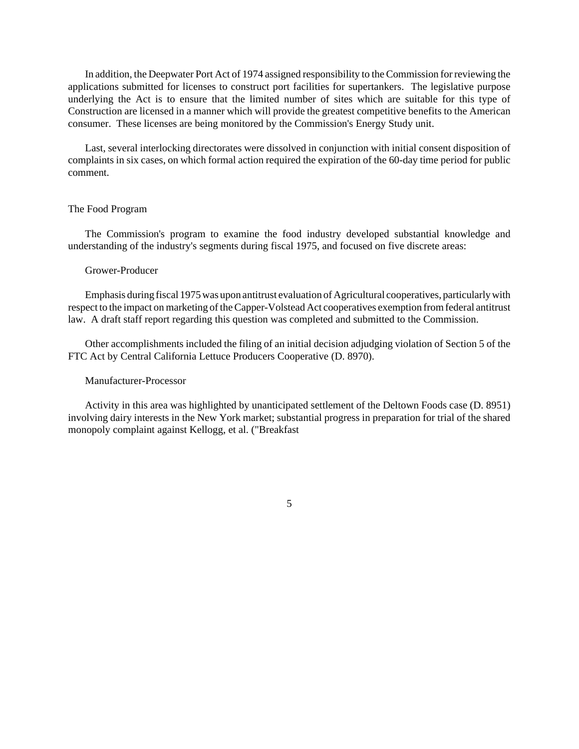In addition, the Deepwater Port Act of 1974 assigned responsibility to the Commission for reviewing the applications submitted for licenses to construct port facilities for supertankers. The legislative purpose underlying the Act is to ensure that the limited number of sites which are suitable for this type of Construction are licensed in a manner which will provide the greatest competitive benefits to the American consumer. These licenses are being monitored by the Commission's Energy Study unit.

Last, several interlocking directorates were dissolved in conjunction with initial consent disposition of complaints in six cases, on which formal action required the expiration of the 60-day time period for public comment.

## The Food Program

The Commission's program to examine the food industry developed substantial knowledge and understanding of the industry's segments during fiscal 1975, and focused on five discrete areas:

## Grower-Producer

Emphasis during fiscal 1975 was upon antitrust evaluation of Agricultural cooperatives, particularly with respect to the impact on marketing of the Capper-Volstead Act cooperatives exemption from federal antitrust law. A draft staff report regarding this question was completed and submitted to the Commission.

Other accomplishments included the filing of an initial decision adjudging violation of Section 5 of the FTC Act by Central California Lettuce Producers Cooperative (D. 8970).

# Manufacturer-Processor

Activity in this area was highlighted by unanticipated settlement of the Deltown Foods case (D. 8951) involving dairy interests in the New York market; substantial progress in preparation for trial of the shared monopoly complaint against Kellogg, et al. ("Breakfast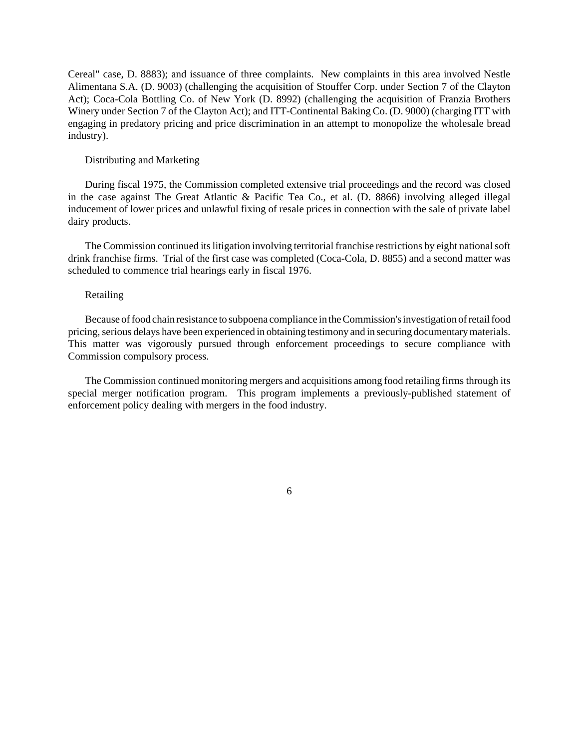Cereal" case, D. 8883); and issuance of three complaints. New complaints in this area involved Nestle Alimentana S.A. (D. 9003) (challenging the acquisition of Stouffer Corp. under Section 7 of the Clayton Act); Coca-Cola Bottling Co. of New York (D. 8992) (challenging the acquisition of Franzia Brothers Winery under Section 7 of the Clayton Act); and ITT-Continental Baking Co. (D. 9000) (charging ITT with engaging in predatory pricing and price discrimination in an attempt to monopolize the wholesale bread industry).

## Distributing and Marketing

During fiscal 1975, the Commission completed extensive trial proceedings and the record was closed in the case against The Great Atlantic & Pacific Tea Co., et al. (D. 8866) involving alleged illegal inducement of lower prices and unlawful fixing of resale prices in connection with the sale of private label dairy products.

The Commission continued its litigation involving territorial franchise restrictions by eight national soft drink franchise firms. Trial of the first case was completed (Coca-Cola, D. 8855) and a second matter was scheduled to commence trial hearings early in fiscal 1976.

#### Retailing

Because offood chain resistance to subpoena compliance in the Commission's investigation of retail food pricing, serious delays have been experienced in obtaining testimony and in securing documentary materials. This matter was vigorously pursued through enforcement proceedings to secure compliance with Commission compulsory process.

The Commission continued monitoring mergers and acquisitions among food retailing firms through its special merger notification program. This program implements a previously-published statement of enforcement policy dealing with mergers in the food industry.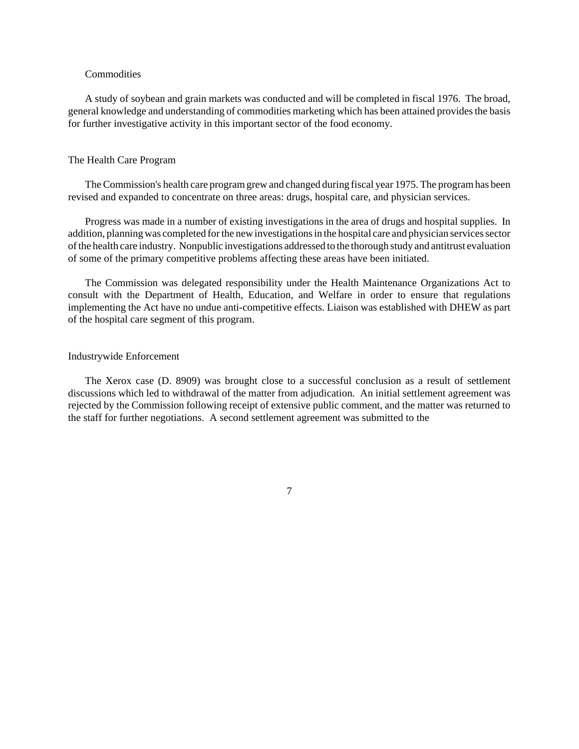### **Commodities**

A study of soybean and grain markets was conducted and will be completed in fiscal 1976. The broad, general knowledge and understanding of commodities marketing which has been attained provides the basis for further investigative activity in this important sector of the food economy.

### The Health Care Program

TheCommission's health care programgrew and changed during fiscal year 1975. The programhas been revised and expanded to concentrate on three areas: drugs, hospital care, and physician services.

Progress was made in a number of existing investigations in the area of drugs and hospital supplies. In addition, planning was completed for the new investigations in the hospital care and physician services sector ofthe health care industry. Nonpublic investigations addressed to the thorough study and antitrust evaluation of some of the primary competitive problems affecting these areas have been initiated.

The Commission was delegated responsibility under the Health Maintenance Organizations Act to consult with the Department of Health, Education, and Welfare in order to ensure that regulations implementing the Act have no undue anti-competitive effects. Liaison was established with DHEW as part of the hospital care segment of this program.

### Industrywide Enforcement

The Xerox case (D. 8909) was brought close to a successful conclusion as a result of settlement discussions which led to withdrawal of the matter from adjudication. An initial settlement agreement was rejected by the Commission following receipt of extensive public comment, and the matter was returned to the staff for further negotiations. A second settlement agreement was submitted to the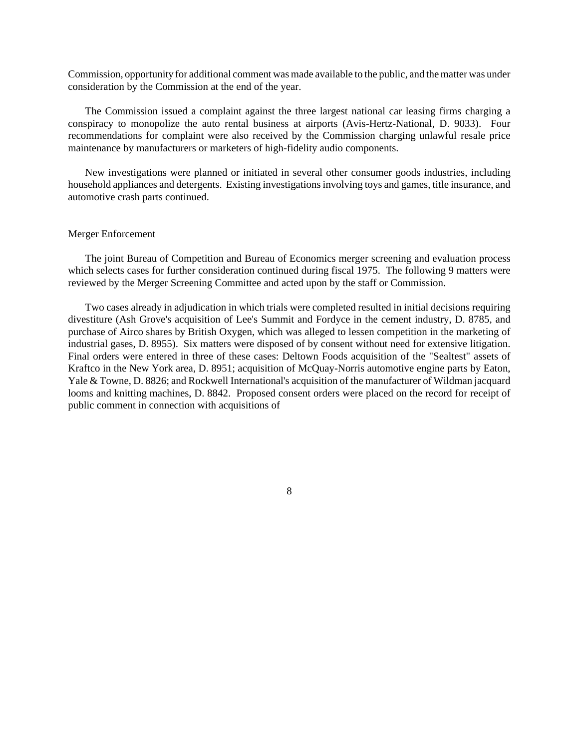Commission, opportunity for additional comment was made available to the public, and thematter was under consideration by the Commission at the end of the year.

The Commission issued a complaint against the three largest national car leasing firms charging a conspiracy to monopolize the auto rental business at airports (Avis-Hertz-National, D. 9033). Four recommendations for complaint were also received by the Commission charging unlawful resale price maintenance by manufacturers or marketers of high-fidelity audio components.

New investigations were planned or initiated in several other consumer goods industries, including household appliances and detergents. Existing investigations involving toys and games, title insurance, and automotive crash parts continued.

## Merger Enforcement

The joint Bureau of Competition and Bureau of Economics merger screening and evaluation process which selects cases for further consideration continued during fiscal 1975. The following 9 matters were reviewed by the Merger Screening Committee and acted upon by the staff or Commission.

Two cases already in adjudication in which trials were completed resulted in initial decisions requiring divestiture (Ash Grove's acquisition of Lee's Summit and Fordyce in the cement industry, D. 8785, and purchase of Airco shares by British Oxygen, which was alleged to lessen competition in the marketing of industrial gases, D. 8955). Six matters were disposed of by consent without need for extensive litigation. Final orders were entered in three of these cases: Deltown Foods acquisition of the "Sealtest" assets of Kraftco in the New York area, D. 8951; acquisition of McQuay-Norris automotive engine parts by Eaton, Yale & Towne, D. 8826; and Rockwell International's acquisition of the manufacturer of Wildman jacquard looms and knitting machines, D. 8842. Proposed consent orders were placed on the record for receipt of public comment in connection with acquisitions of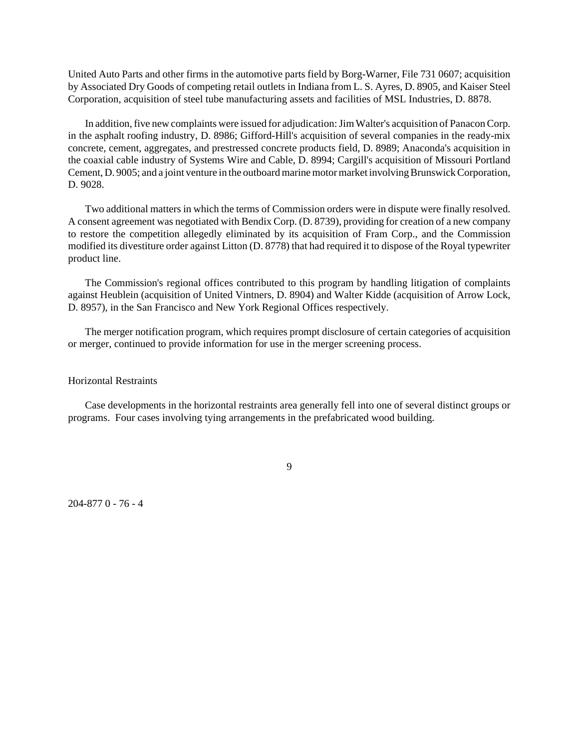United Auto Parts and other firms in the automotive parts field by Borg-Warner, File 731 0607; acquisition by Associated Dry Goods of competing retail outlets in Indiana from L. S. Ayres, D. 8905, and Kaiser Steel Corporation, acquisition of steel tube manufacturing assets and facilities of MSL Industries, D. 8878.

In addition, five new complaints were issued for adjudication: Jim Walter's acquisition of Panacon Corp. in the asphalt roofing industry, D. 8986; Gifford-Hill's acquisition of several companies in the ready-mix concrete, cement, aggregates, and prestressed concrete products field, D. 8989; Anaconda's acquisition in the coaxial cable industry of Systems Wire and Cable, D. 8994; Cargill's acquisition of Missouri Portland Cement, D. 9005; and a joint venture in the outboard marine motor market involving Brunswick Corporation, D. 9028.

Two additional matters in which the terms of Commission orders were in dispute were finally resolved. A consent agreement was negotiated with Bendix Corp. (D. 8739), providing for creation of a new company to restore the competition allegedly eliminated by its acquisition of Fram Corp., and the Commission modified its divestiture order against Litton (D. 8778) that had required it to dispose of the Royal typewriter product line.

The Commission's regional offices contributed to this program by handling litigation of complaints against Heublein (acquisition of United Vintners, D. 8904) and Walter Kidde (acquisition of Arrow Lock, D. 8957), in the San Francisco and New York Regional Offices respectively.

The merger notification program, which requires prompt disclosure of certain categories of acquisition or merger, continued to provide information for use in the merger screening process.

# Horizontal Restraints

Case developments in the horizontal restraints area generally fell into one of several distinct groups or programs. Four cases involving tying arrangements in the prefabricated wood building.

9

204-877 0 - 76 - 4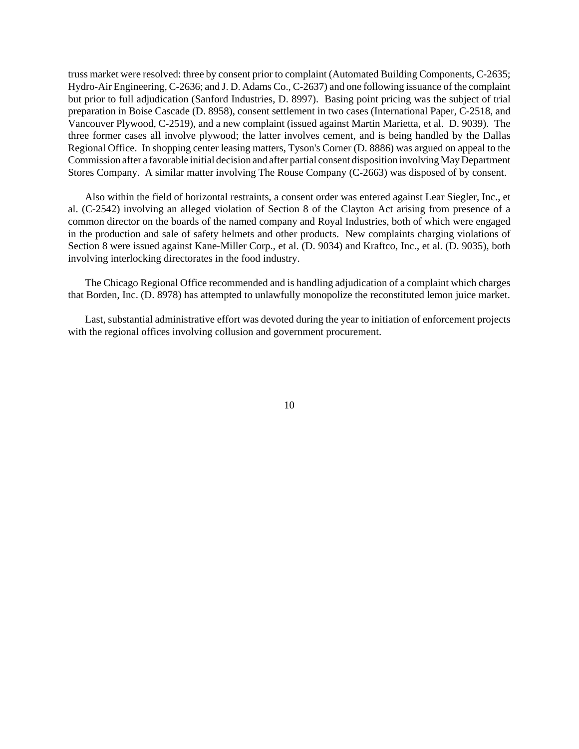truss market were resolved: three by consent prior to complaint (Automated Building Components, C-2635; Hydro-Air Engineering, C-2636; and J. D. Adams Co., C-2637) and one following issuance of the complaint but prior to full adjudication (Sanford Industries, D. 8997). Basing point pricing was the subject of trial preparation in Boise Cascade (D. 8958), consent settlement in two cases (International Paper, C-2518, and Vancouver Plywood, C-2519), and a new complaint (issued against Martin Marietta, et al. D. 9039). The three former cases all involve plywood; the latter involves cement, and is being handled by the Dallas Regional Office. In shopping center leasing matters, Tyson's Corner (D. 8886) was argued on appeal to the Commission after a favorable initial decision and after partial consent disposition involving May Department Stores Company. A similar matter involving The Rouse Company (C-2663) was disposed of by consent.

Also within the field of horizontal restraints, a consent order was entered against Lear Siegler, Inc., et al. (C-2542) involving an alleged violation of Section 8 of the Clayton Act arising from presence of a common director on the boards of the named company and Royal Industries, both of which were engaged in the production and sale of safety helmets and other products. New complaints charging violations of Section 8 were issued against Kane-Miller Corp., et al. (D. 9034) and Kraftco, Inc., et al. (D. 9035), both involving interlocking directorates in the food industry.

The Chicago Regional Office recommended and is handling adjudication of a complaint which charges that Borden, Inc. (D. 8978) has attempted to unlawfully monopolize the reconstituted lemon juice market.

Last, substantial administrative effort was devoted during the year to initiation of enforcement projects with the regional offices involving collusion and government procurement.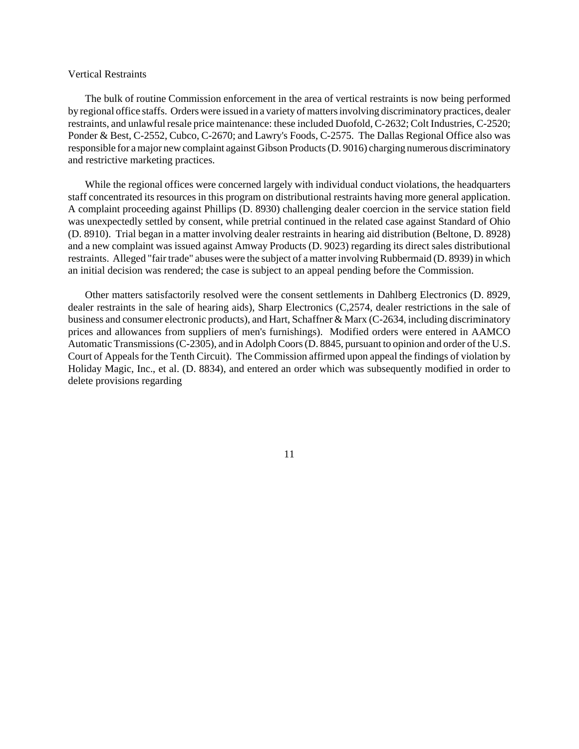### Vertical Restraints

The bulk of routine Commission enforcement in the area of vertical restraints is now being performed by regional office staffs. Orders were issued in a variety of matters involving discriminatory practices, dealer restraints, and unlawful resale price maintenance: these included Duofold, C-2632; Colt Industries, C-2520; Ponder & Best, C-2552, Cubco, C-2670; and Lawry's Foods, C-2575. The Dallas Regional Office also was responsible for amajor new complaint against Gibson Products(D. 9016) charging numerous discriminatory and restrictive marketing practices.

While the regional offices were concerned largely with individual conduct violations, the headquarters staff concentrated its resources in this program on distributional restraints having more general application. A complaint proceeding against Phillips (D. 8930) challenging dealer coercion in the service station field was unexpectedly settled by consent, while pretrial continued in the related case against Standard of Ohio (D. 8910). Trial began in a matter involving dealer restraints in hearing aid distribution (Beltone, D. 8928) and a new complaint was issued against Amway Products (D. 9023) regarding its direct sales distributional restraints. Alleged "fair trade" abuses were the subject of a matter involving Rubbermaid (D. 8939) in which an initial decision was rendered; the case is subject to an appeal pending before the Commission.

Other matters satisfactorily resolved were the consent settlements in Dahlberg Electronics (D. 8929, dealer restraints in the sale of hearing aids), Sharp Electronics (C,2574, dealer restrictions in the sale of business and consumer electronic products), and Hart, Schaffner & Marx (C-2634, including discriminatory prices and allowances from suppliers of men's furnishings). Modified orders were entered in AAMCO Automatic Transmissions (C-2305), and in Adolph Coors (D. 8845, pursuant to opinion and order of the U.S. Court of Appeals for the Tenth Circuit). The Commission affirmed upon appeal the findings of violation by Holiday Magic, Inc., et al. (D. 8834), and entered an order which was subsequently modified in order to delete provisions regarding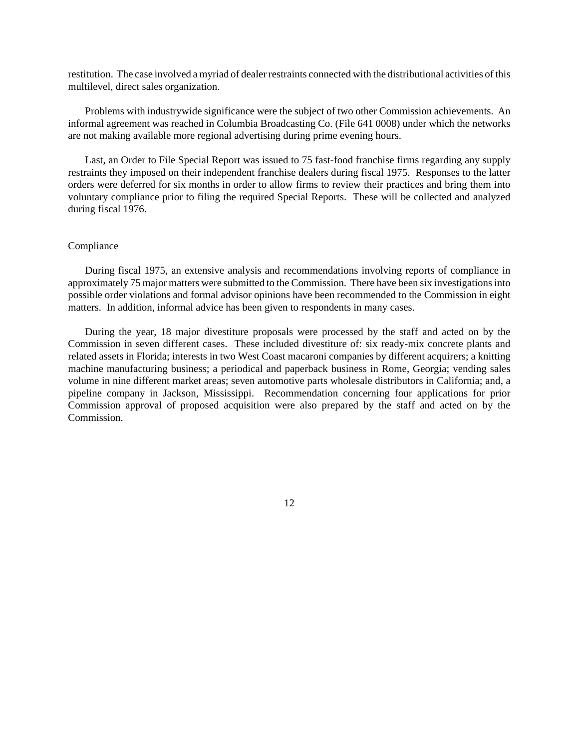restitution. The case involved a myriad of dealer restraints connected with the distributional activities of this multilevel, direct sales organization.

Problems with industrywide significance were the subject of two other Commission achievements. An informal agreement was reached in Columbia Broadcasting Co. (File 641 0008) under which the networks are not making available more regional advertising during prime evening hours.

Last, an Order to File Special Report was issued to 75 fast-food franchise firms regarding any supply restraints they imposed on their independent franchise dealers during fiscal 1975. Responses to the latter orders were deferred for six months in order to allow firms to review their practices and bring them into voluntary compliance prior to filing the required Special Reports. These will be collected and analyzed during fiscal 1976.

## Compliance

During fiscal 1975, an extensive analysis and recommendations involving reports of compliance in approximately 75 major matters were submitted to the Commission. There have been six investigations into possible order violations and formal advisor opinions have been recommended to the Commission in eight matters. In addition, informal advice has been given to respondents in many cases.

During the year, 18 major divestiture proposals were processed by the staff and acted on by the Commission in seven different cases. These included divestiture of: six ready-mix concrete plants and related assets in Florida; interests in two West Coast macaroni companies by different acquirers; a knitting machine manufacturing business; a periodical and paperback business in Rome, Georgia; vending sales volume in nine different market areas; seven automotive parts wholesale distributors in California; and, a pipeline company in Jackson, Mississippi. Recommendation concerning four applications for prior Commission approval of proposed acquisition were also prepared by the staff and acted on by the Commission.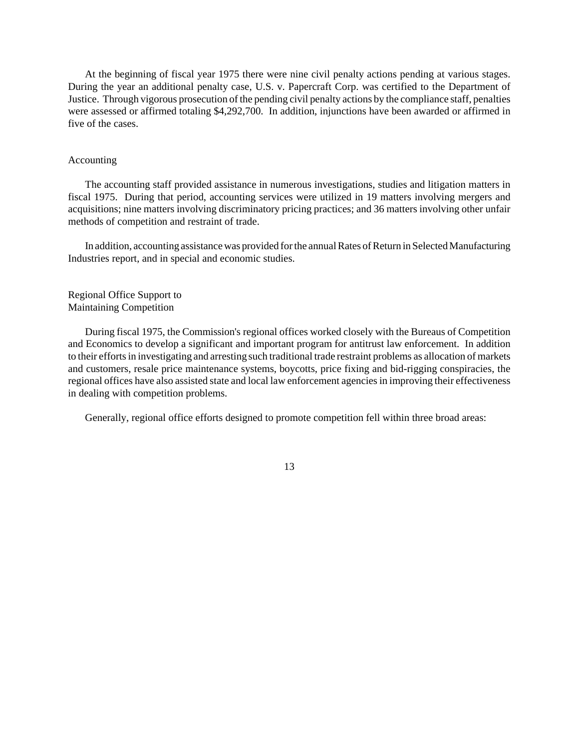At the beginning of fiscal year 1975 there were nine civil penalty actions pending at various stages. During the year an additional penalty case, U.S. v. Papercraft Corp. was certified to the Department of Justice. Through vigorous prosecution of the pending civil penalty actions by the compliance staff, penalties were assessed or affirmed totaling \$4,292,700. In addition, injunctions have been awarded or affirmed in five of the cases.

# Accounting

The accounting staff provided assistance in numerous investigations, studies and litigation matters in fiscal 1975. During that period, accounting services were utilized in 19 matters involving mergers and acquisitions; nine matters involving discriminatory pricing practices; and 36 matters involving other unfair methods of competition and restraint of trade.

In addition, accounting assistance was provided for the annual Rates of Return in Selected Manufacturing Industries report, and in special and economic studies.

Regional Office Support to Maintaining Competition

During fiscal 1975, the Commission's regional offices worked closely with the Bureaus of Competition and Economics to develop a significant and important program for antitrust law enforcement. In addition to their effortsin investigating and arresting such traditional trade restraint problems as allocation of markets and customers, resale price maintenance systems, boycotts, price fixing and bid-rigging conspiracies, the regional offices have also assisted state and local law enforcement agenciesin improving their effectiveness in dealing with competition problems.

Generally, regional office efforts designed to promote competition fell within three broad areas: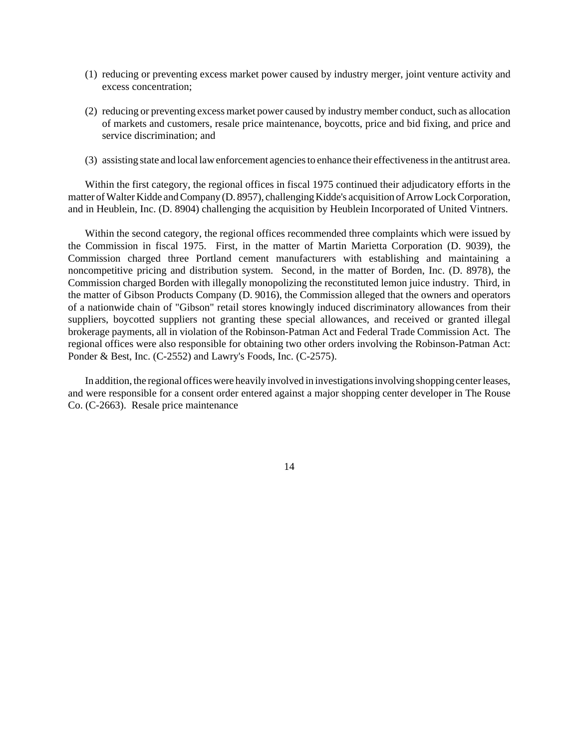- (1) reducing or preventing excess market power caused by industry merger, joint venture activity and excess concentration;
- (2) reducing or preventing excess market power caused by industry member conduct, such as allocation of markets and customers, resale price maintenance, boycotts, price and bid fixing, and price and service discrimination; and
- (3) assisting state and local law enforcement agenciesto enhance their effectivenessin the antitrust area.

Within the first category, the regional offices in fiscal 1975 continued their adjudicatory efforts in the matter of Walter Kidde and Company (D. 8957), challenging Kidde's acquisition of Arrow Lock Corporation, and in Heublein, Inc. (D. 8904) challenging the acquisition by Heublein Incorporated of United Vintners.

Within the second category, the regional offices recommended three complaints which were issued by the Commission in fiscal 1975. First, in the matter of Martin Marietta Corporation (D. 9039), the Commission charged three Portland cement manufacturers with establishing and maintaining a noncompetitive pricing and distribution system. Second, in the matter of Borden, Inc. (D. 8978), the Commission charged Borden with illegally monopolizing the reconstituted lemon juice industry. Third, in the matter of Gibson Products Company (D. 9016), the Commission alleged that the owners and operators of a nationwide chain of "Gibson" retail stores knowingly induced discriminatory allowances from their suppliers, boycotted suppliers not granting these special allowances, and received or granted illegal brokerage payments, all in violation of the Robinson-Patman Act and Federal Trade Commission Act. The regional offices were also responsible for obtaining two other orders involving the Robinson-Patman Act: Ponder & Best, Inc. (C-2552) and Lawry's Foods, Inc. (C-2575).

In addition, the regional offices were heavily involved in investigations involving shopping center leases, and were responsible for a consent order entered against a major shopping center developer in The Rouse Co. (C-2663). Resale price maintenance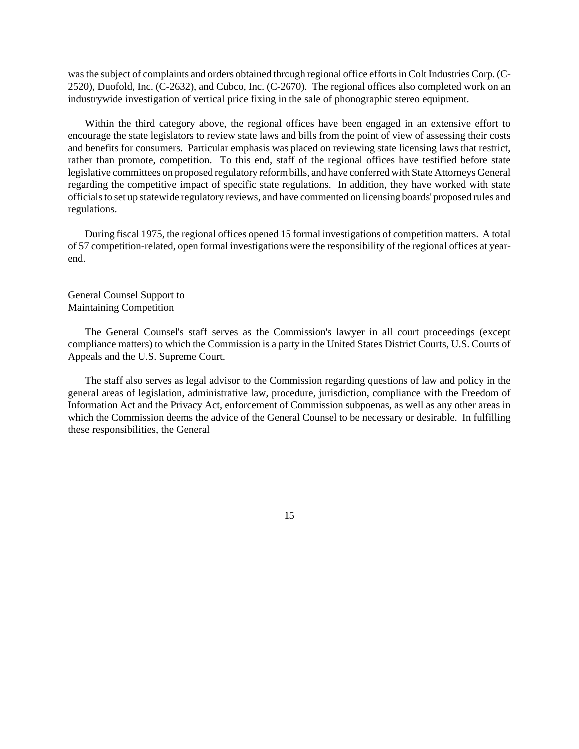wasthe subject of complaints and orders obtained through regional office effortsin Colt Industries Corp. (C-2520), Duofold, Inc. (C-2632), and Cubco, Inc. (C-2670). The regional offices also completed work on an industrywide investigation of vertical price fixing in the sale of phonographic stereo equipment.

Within the third category above, the regional offices have been engaged in an extensive effort to encourage the state legislators to review state laws and bills from the point of view of assessing their costs and benefits for consumers. Particular emphasis was placed on reviewing state licensing laws that restrict, rather than promote, competition. To this end, staff of the regional offices have testified before state legislative committees on proposed regulatory reformbills, and have conferred with State Attorneys General regarding the competitive impact of specific state regulations. In addition, they have worked with state officialsto set up statewide regulatory reviews, and have commented on licensing boards' proposed rules and regulations.

During fiscal 1975, the regional offices opened 15 formal investigations of competition matters. A total of 57 competition-related, open formal investigations were the responsibility of the regional offices at yearend.

General Counsel Support to Maintaining Competition

The General Counsel's staff serves as the Commission's lawyer in all court proceedings (except compliance matters) to which the Commission is a party in the United States District Courts, U.S. Courts of Appeals and the U.S. Supreme Court.

The staff also serves as legal advisor to the Commission regarding questions of law and policy in the general areas of legislation, administrative law, procedure, jurisdiction, compliance with the Freedom of Information Act and the Privacy Act, enforcement of Commission subpoenas, as well as any other areas in which the Commission deems the advice of the General Counsel to be necessary or desirable. In fulfilling these responsibilities, the General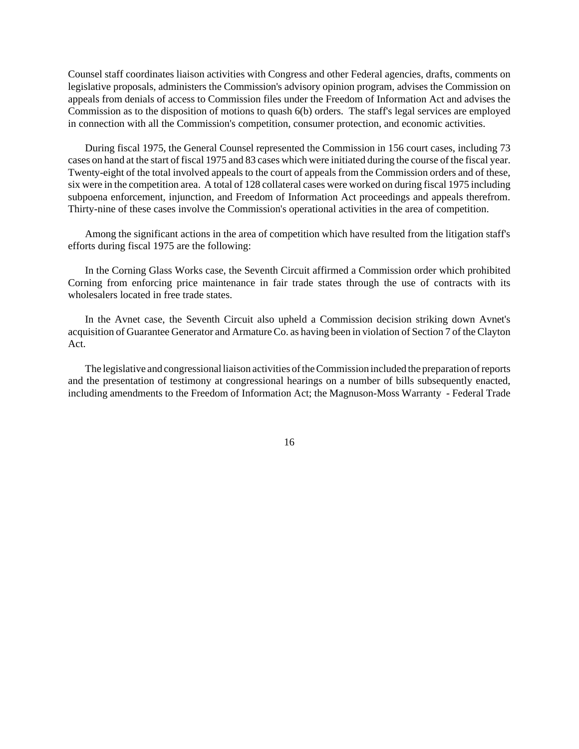Counsel staff coordinates liaison activities with Congress and other Federal agencies, drafts, comments on legislative proposals, administers the Commission's advisory opinion program, advises the Commission on appeals from denials of access to Commission files under the Freedom of Information Act and advises the Commission as to the disposition of motions to quash 6(b) orders. The staff's legal services are employed in connection with all the Commission's competition, consumer protection, and economic activities.

During fiscal 1975, the General Counsel represented the Commission in 156 court cases, including 73 cases on hand at the start of fiscal 1975 and 83 cases which were initiated during the course of the fiscal year. Twenty-eight of the total involved appeals to the court of appeals from the Commission orders and of these, six were in the competition area. A total of 128 collateral cases were worked on during fiscal 1975 including subpoena enforcement, injunction, and Freedom of Information Act proceedings and appeals therefrom. Thirty-nine of these cases involve the Commission's operational activities in the area of competition.

Among the significant actions in the area of competition which have resulted from the litigation staff's efforts during fiscal 1975 are the following:

In the Corning Glass Works case, the Seventh Circuit affirmed a Commission order which prohibited Corning from enforcing price maintenance in fair trade states through the use of contracts with its wholesalers located in free trade states.

In the Avnet case, the Seventh Circuit also upheld a Commission decision striking down Avnet's acquisition of Guarantee Generator and Armature Co. as having been in violation of Section 7 of the Clayton Act.

The legislative and congressional liaison activities of the Commission included the preparation of reports and the presentation of testimony at congressional hearings on a number of bills subsequently enacted, including amendments to the Freedom of Information Act; the Magnuson-Moss Warranty - Federal Trade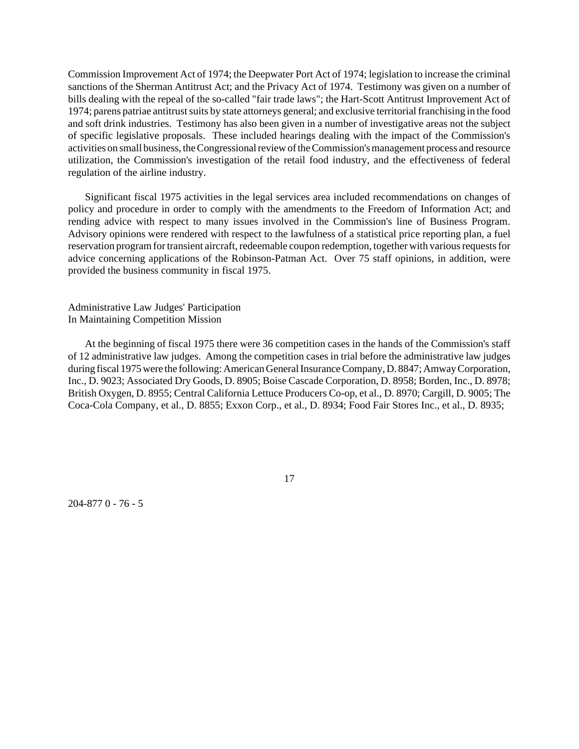Commission Improvement Act of 1974; the Deepwater Port Act of 1974; legislation to increase the criminal sanctions of the Sherman Antitrust Act; and the Privacy Act of 1974. Testimony was given on a number of bills dealing with the repeal of the so-called "fair trade laws"; the Hart-Scott Antitrust Improvement Act of 1974; parens patriae antitrust suits by state attorneys general; and exclusive territorial franchising in the food and soft drink industries. Testimony has also been given in a number of investigative areas not the subject of specific legislative proposals. These included hearings dealing with the impact of the Commission's activities on small business, the Congressional review of the Commission's management process and resource utilization, the Commission's investigation of the retail food industry, and the effectiveness of federal regulation of the airline industry.

Significant fiscal 1975 activities in the legal services area included recommendations on changes of policy and procedure in order to comply with the amendments to the Freedom of Information Act; and rending advice with respect to many issues involved in the Commission's line of Business Program. Advisory opinions were rendered with respect to the lawfulness of a statistical price reporting plan, a fuel reservation program for transient aircraft, redeemable coupon redemption, together with various requests for advice concerning applications of the Robinson-Patman Act. Over 75 staff opinions, in addition, were provided the business community in fiscal 1975.

Administrative Law Judges' Participation In Maintaining Competition Mission

At the beginning of fiscal 1975 there were 36 competition cases in the hands of the Commission's staff of 12 administrative law judges. Among the competition cases in trial before the administrative law judges during fiscal 1975 were the following: American General Insurance Company, D. 8847; Amway Corporation, Inc., D. 9023; Associated Dry Goods, D. 8905; Boise Cascade Corporation, D. 8958; Borden, Inc., D. 8978; British Oxygen, D. 8955; Central California Lettuce Producers Co-op, et al., D. 8970; Cargill, D. 9005; The Coca-Cola Company, et al., D. 8855; Exxon Corp., et al., D. 8934; Food Fair Stores Inc., et al., D. 8935;

204-877 0 - 76 - 5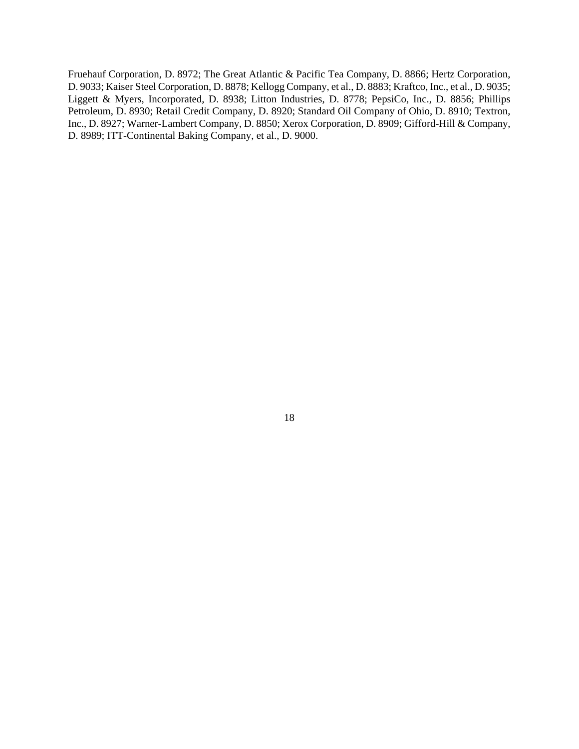Fruehauf Corporation, D. 8972; The Great Atlantic & Pacific Tea Company, D. 8866; Hertz Corporation, D. 9033; Kaiser Steel Corporation, D. 8878; Kellogg Company, et al., D. 8883; Kraftco, Inc., et al., D. 9035; Liggett & Myers, Incorporated, D. 8938; Litton Industries, D. 8778; PepsiCo, Inc., D. 8856; Phillips Petroleum, D. 8930; Retail Credit Company, D. 8920; Standard Oil Company of Ohio, D. 8910; Textron, Inc., D. 8927; Warner-Lambert Company, D. 8850; Xerox Corporation, D. 8909; Gifford-Hill & Company, D. 8989; ITT-Continental Baking Company, et al., D. 9000.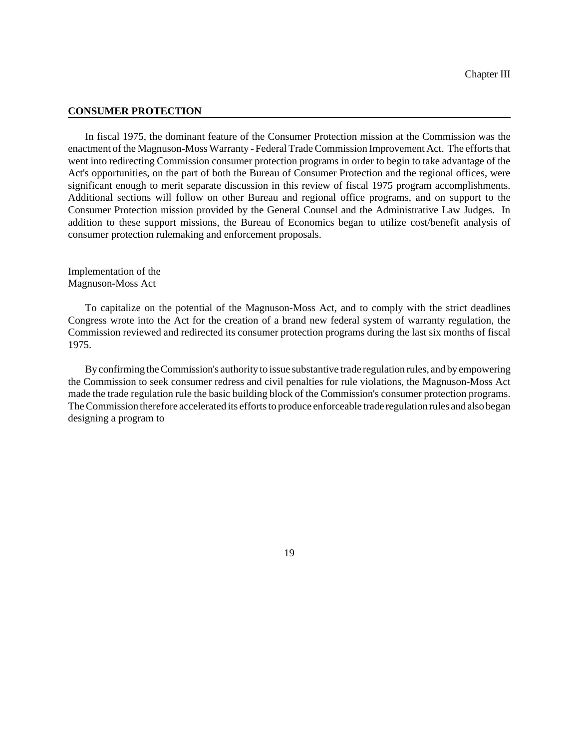## **CONSUMER PROTECTION**

In fiscal 1975, the dominant feature of the Consumer Protection mission at the Commission was the enactment of the Magnuson-Moss Warranty - Federal Trade Commission Improvement Act. The efforts that went into redirecting Commission consumer protection programs in order to begin to take advantage of the Act's opportunities, on the part of both the Bureau of Consumer Protection and the regional offices, were significant enough to merit separate discussion in this review of fiscal 1975 program accomplishments. Additional sections will follow on other Bureau and regional office programs, and on support to the Consumer Protection mission provided by the General Counsel and the Administrative Law Judges. In addition to these support missions, the Bureau of Economics began to utilize cost/benefit analysis of consumer protection rulemaking and enforcement proposals.

Implementation of the Magnuson-Moss Act

To capitalize on the potential of the Magnuson-Moss Act, and to comply with the strict deadlines Congress wrote into the Act for the creation of a brand new federal system of warranty regulation, the Commission reviewed and redirected its consumer protection programs during the last six months of fiscal 1975.

By confirming theCommission's authority to issue substantive trade regulation rules, and by empowering the Commission to seek consumer redress and civil penalties for rule violations, the Magnuson-Moss Act made the trade regulation rule the basic building block of the Commission's consumer protection programs. The Commission therefore accelerated its efforts to produce enforceable trade regulation rules and also began designing a program to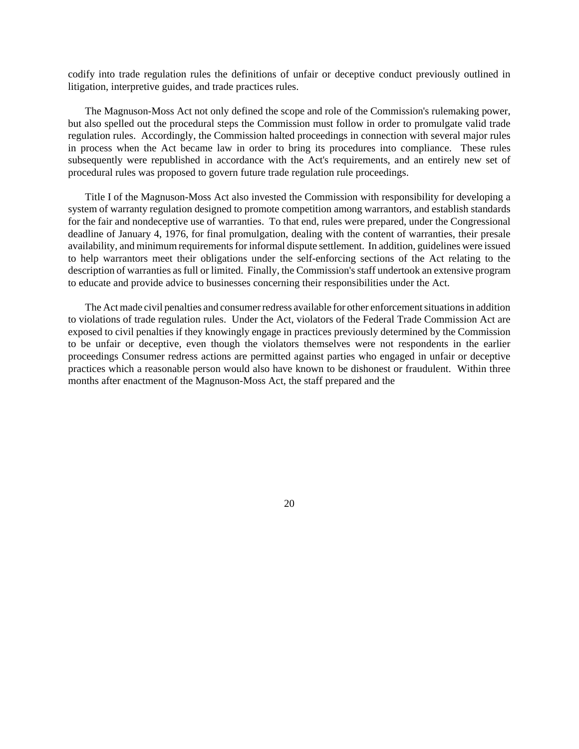codify into trade regulation rules the definitions of unfair or deceptive conduct previously outlined in litigation, interpretive guides, and trade practices rules.

The Magnuson-Moss Act not only defined the scope and role of the Commission's rulemaking power, but also spelled out the procedural steps the Commission must follow in order to promulgate valid trade regulation rules. Accordingly, the Commission halted proceedings in connection with several major rules in process when the Act became law in order to bring its procedures into compliance. These rules subsequently were republished in accordance with the Act's requirements, and an entirely new set of procedural rules was proposed to govern future trade regulation rule proceedings.

Title I of the Magnuson-Moss Act also invested the Commission with responsibility for developing a system of warranty regulation designed to promote competition among warrantors, and establish standards for the fair and nondeceptive use of warranties. To that end, rules were prepared, under the Congressional deadline of January 4, 1976, for final promulgation, dealing with the content of warranties, their presale availability, and minimum requirements for informal dispute settlement. In addition, guidelines were issued to help warrantors meet their obligations under the self-enforcing sections of the Act relating to the description of warranties as full or limited. Finally, the Commission's staff undertook an extensive program to educate and provide advice to businesses concerning their responsibilities under the Act.

The Act made civil penalties and consumer redress available for other enforcement situations in addition to violations of trade regulation rules. Under the Act, violators of the Federal Trade Commission Act are exposed to civil penalties if they knowingly engage in practices previously determined by the Commission to be unfair or deceptive, even though the violators themselves were not respondents in the earlier proceedings Consumer redress actions are permitted against parties who engaged in unfair or deceptive practices which a reasonable person would also have known to be dishonest or fraudulent. Within three months after enactment of the Magnuson-Moss Act, the staff prepared and the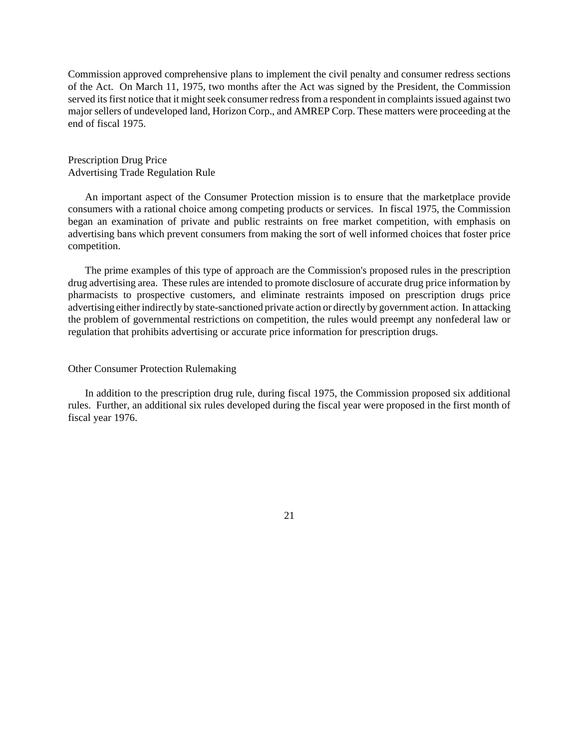Commission approved comprehensive plans to implement the civil penalty and consumer redress sections of the Act. On March 11, 1975, two months after the Act was signed by the President, the Commission served its first notice that it might seek consumer redress from a respondent in complaints issued against two major sellers of undeveloped land, Horizon Corp., and AMREP Corp. These matters were proceeding at the end of fiscal 1975.

# Prescription Drug Price Advertising Trade Regulation Rule

An important aspect of the Consumer Protection mission is to ensure that the marketplace provide consumers with a rational choice among competing products or services. In fiscal 1975, the Commission began an examination of private and public restraints on free market competition, with emphasis on advertising bans which prevent consumers from making the sort of well informed choices that foster price competition.

The prime examples of this type of approach are the Commission's proposed rules in the prescription drug advertising area. These rules are intended to promote disclosure of accurate drug price information by pharmacists to prospective customers, and eliminate restraints imposed on prescription drugs price advertising either indirectly by state-sanctioned private action or directly by government action. In attacking the problem of governmental restrictions on competition, the rules would preempt any nonfederal law or regulation that prohibits advertising or accurate price information for prescription drugs.

### Other Consumer Protection Rulemaking

In addition to the prescription drug rule, during fiscal 1975, the Commission proposed six additional rules. Further, an additional six rules developed during the fiscal year were proposed in the first month of fiscal year 1976.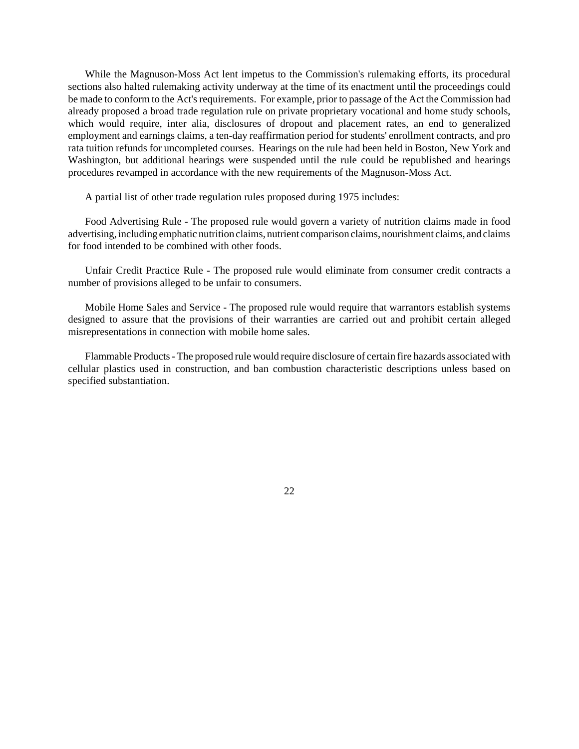While the Magnuson-Moss Act lent impetus to the Commission's rulemaking efforts, its procedural sections also halted rulemaking activity underway at the time of its enactment until the proceedings could be made to conform to the Act's requirements. For example, prior to passage of the Act the Commission had already proposed a broad trade regulation rule on private proprietary vocational and home study schools, which would require, inter alia, disclosures of dropout and placement rates, an end to generalized employment and earnings claims, a ten-day reaffirmation period for students' enrollment contracts, and pro rata tuition refunds for uncompleted courses. Hearings on the rule had been held in Boston, New York and Washington, but additional hearings were suspended until the rule could be republished and hearings procedures revamped in accordance with the new requirements of the Magnuson-Moss Act.

A partial list of other trade regulation rules proposed during 1975 includes:

Food Advertising Rule - The proposed rule would govern a variety of nutrition claims made in food advertising, including emphatic nutrition claims, nutrient comparison claims, nourishment claims, and claims for food intended to be combined with other foods.

Unfair Credit Practice Rule - The proposed rule would eliminate from consumer credit contracts a number of provisions alleged to be unfair to consumers.

Mobile Home Sales and Service - The proposed rule would require that warrantors establish systems designed to assure that the provisions of their warranties are carried out and prohibit certain alleged misrepresentations in connection with mobile home sales.

Flammable Products-The proposed rule would require disclosure of certain fire hazards associated with cellular plastics used in construction, and ban combustion characteristic descriptions unless based on specified substantiation.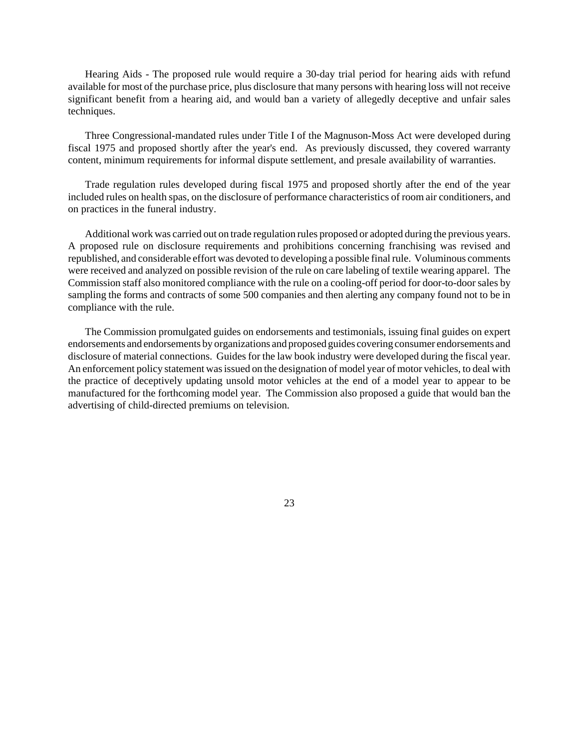Hearing Aids - The proposed rule would require a 30-day trial period for hearing aids with refund available for most of the purchase price, plus disclosure that many persons with hearing loss will not receive significant benefit from a hearing aid, and would ban a variety of allegedly deceptive and unfair sales techniques.

Three Congressional-mandated rules under Title I of the Magnuson-Moss Act were developed during fiscal 1975 and proposed shortly after the year's end. As previously discussed, they covered warranty content, minimum requirements for informal dispute settlement, and presale availability of warranties.

Trade regulation rules developed during fiscal 1975 and proposed shortly after the end of the year included rules on health spas, on the disclosure of performance characteristics of room air conditioners, and on practices in the funeral industry.

Additional work was carried out on trade regulation rules proposed or adopted during the previous years. A proposed rule on disclosure requirements and prohibitions concerning franchising was revised and republished, and considerable effort was devoted to developing a possible finalrule. Voluminous comments were received and analyzed on possible revision of the rule on care labeling of textile wearing apparel. The Commission staff also monitored compliance with the rule on a cooling-off period for door-to-doorsales by sampling the forms and contracts of some 500 companies and then alerting any company found not to be in compliance with the rule.

The Commission promulgated guides on endorsements and testimonials, issuing final guides on expert endorsements and endorsements by organizations and proposed guides covering consumer endorsements and disclosure of material connections. Guides for the law book industry were developed during the fiscal year. An enforcement policy statement wasissued on the designation of model year of motor vehicles, to deal with the practice of deceptively updating unsold motor vehicles at the end of a model year to appear to be manufactured for the forthcoming model year. The Commission also proposed a guide that would ban the advertising of child-directed premiums on television.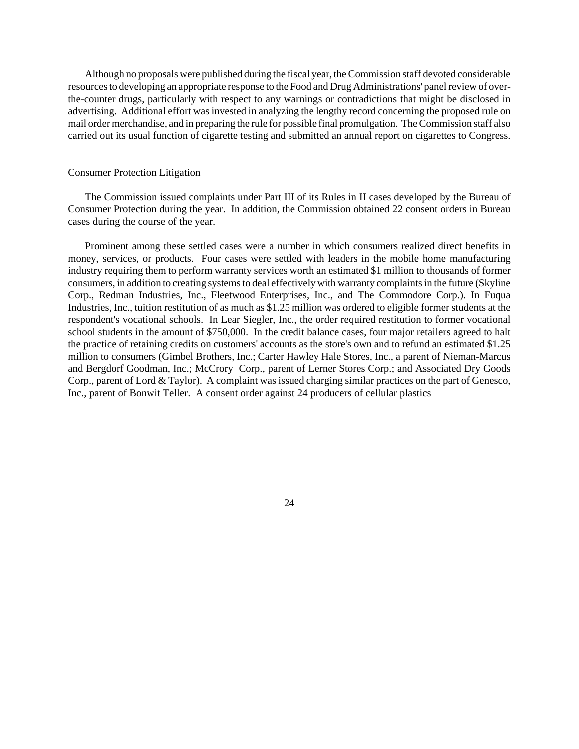Although no proposals were published during the fiscal year, theCommission staff devoted considerable resources to developing an appropriate response to the Food and Drug Administrations' panel review of overthe-counter drugs, particularly with respect to any warnings or contradictions that might be disclosed in advertising. Additional effort was invested in analyzing the lengthy record concerning the proposed rule on mail order merchandise, and in preparing the rule for possible final promulgation. The Commission staff also carried out its usual function of cigarette testing and submitted an annual report on cigarettes to Congress.

#### Consumer Protection Litigation

The Commission issued complaints under Part III of its Rules in II cases developed by the Bureau of Consumer Protection during the year. In addition, the Commission obtained 22 consent orders in Bureau cases during the course of the year.

Prominent among these settled cases were a number in which consumers realized direct benefits in money, services, or products. Four cases were settled with leaders in the mobile home manufacturing industry requiring them to perform warranty services worth an estimated \$1 million to thousands of former consumers, in addition to creating systems to deal effectively with warranty complaints in the future (Skyline Corp., Redman Industries, Inc., Fleetwood Enterprises, Inc., and The Commodore Corp.). In Fuqua Industries, Inc., tuition restitution of as much as \$1.25 million was ordered to eligible former students at the respondent's vocational schools. In Lear Siegler, Inc., the order required restitution to former vocational school students in the amount of \$750,000. In the credit balance cases, four major retailers agreed to halt the practice of retaining credits on customers' accounts as the store's own and to refund an estimated \$1.25 million to consumers (Gimbel Brothers, Inc.; Carter Hawley Hale Stores, Inc., a parent of Nieman-Marcus and Bergdorf Goodman, Inc.; McCrory Corp., parent of Lerner Stores Corp.; and Associated Dry Goods Corp., parent of Lord & Taylor). A complaint was issued charging similar practices on the part of Genesco, Inc., parent of Bonwit Teller. A consent order against 24 producers of cellular plastics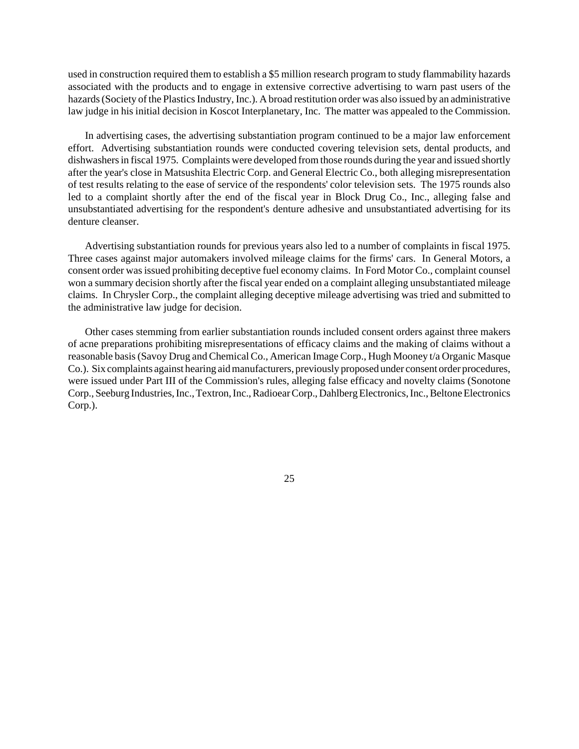used in construction required them to establish a \$5 million research program to study flammability hazards associated with the products and to engage in extensive corrective advertising to warn past users of the hazards (Society of the Plastics Industry, Inc.). A broad restitution order was also issued by an administrative law judge in his initial decision in Koscot Interplanetary, Inc. The matter was appealed to the Commission.

In advertising cases, the advertising substantiation program continued to be a major law enforcement effort. Advertising substantiation rounds were conducted covering television sets, dental products, and dishwashers in fiscal 1975. Complaints were developed from those rounds during the year and issued shortly after the year's close in Matsushita Electric Corp. and General Electric Co., both alleging misrepresentation of test results relating to the ease of service of the respondents' color television sets. The 1975 rounds also led to a complaint shortly after the end of the fiscal year in Block Drug Co., Inc., alleging false and unsubstantiated advertising for the respondent's denture adhesive and unsubstantiated advertising for its denture cleanser.

Advertising substantiation rounds for previous years also led to a number of complaints in fiscal 1975. Three cases against major automakers involved mileage claims for the firms' cars. In General Motors, a consent order wasissued prohibiting deceptive fuel economy claims. In Ford Motor Co., complaint counsel won a summary decision shortly after the fiscal year ended on a complaint alleging unsubstantiated mileage claims. In Chrysler Corp., the complaint alleging deceptive mileage advertising was tried and submitted to the administrative law judge for decision.

Other cases stemming from earlier substantiation rounds included consent orders against three makers of acne preparations prohibiting misrepresentations of efficacy claims and the making of claims without a reasonable basis(Savoy Drug and Chemical Co., American Image Corp., Hugh Mooney t/a Organic Masque Co.). Six complaints against hearing aid manufacturers, previously proposed under consent order procedures, were issued under Part III of the Commission's rules, alleging false efficacy and novelty claims (Sonotone Corp., Seeburg Industries, Inc., Textron, Inc., Radioear Corp., Dahlberg Electronics, Inc., Beltone Electronics Corp.).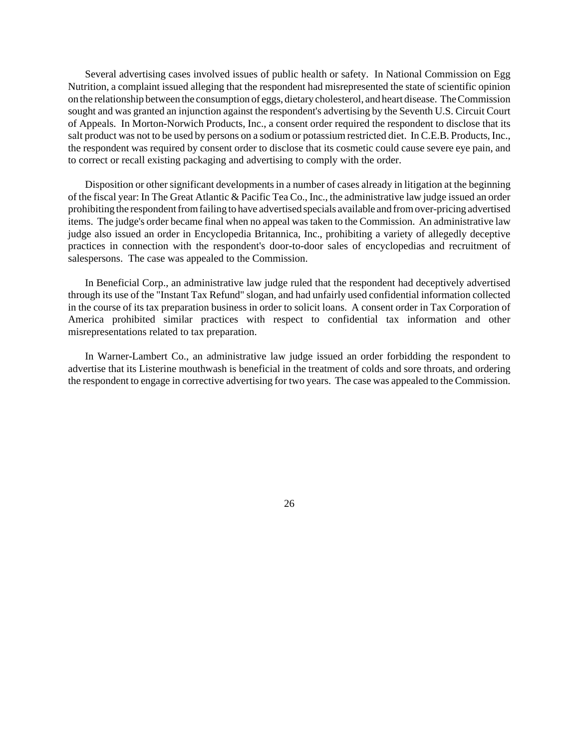Several advertising cases involved issues of public health or safety. In National Commission on Egg Nutrition, a complaint issued alleging that the respondent had misrepresented the state of scientific opinion on the relationship between the consumption of eggs, dietary cholesterol, and heart disease. The Commission sought and was granted an injunction against the respondent's advertising by the Seventh U.S. Circuit Court of Appeals. In Morton-Norwich Products, Inc., a consent order required the respondent to disclose that its salt product was not to be used by persons on a sodium or potassium restricted diet. In C.E.B. Products, Inc., the respondent was required by consent order to disclose that its cosmetic could cause severe eye pain, and to correct or recall existing packaging and advertising to comply with the order.

Disposition or other significant developments in a number of cases already in litigation at the beginning of the fiscal year: In The Great Atlantic & Pacific Tea Co., Inc., the administrative law judge issued an order prohibiting the respondentfromfailing to have advertised specials available and from over-pricing advertised items. The judge's order became final when no appeal was taken to the Commission. An administrative law judge also issued an order in Encyclopedia Britannica, Inc., prohibiting a variety of allegedly deceptive practices in connection with the respondent's door-to-door sales of encyclopedias and recruitment of salespersons. The case was appealed to the Commission.

In Beneficial Corp., an administrative law judge ruled that the respondent had deceptively advertised through its use of the "Instant Tax Refund" slogan, and had unfairly used confidential information collected in the course of its tax preparation business in order to solicit loans. A consent order in Tax Corporation of America prohibited similar practices with respect to confidential tax information and other misrepresentations related to tax preparation.

In Warner-Lambert Co., an administrative law judge issued an order forbidding the respondent to advertise that its Listerine mouthwash is beneficial in the treatment of colds and sore throats, and ordering the respondent to engage in corrective advertising for two years. The case was appealed to the Commission.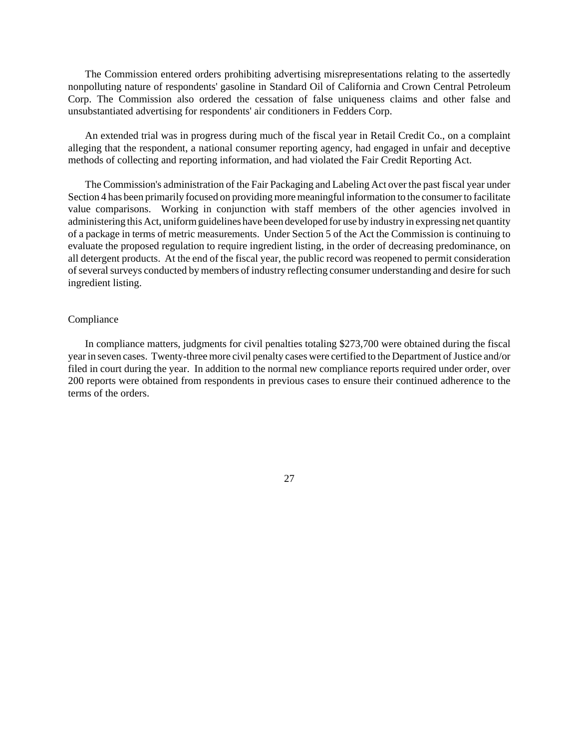The Commission entered orders prohibiting advertising misrepresentations relating to the assertedly nonpolluting nature of respondents' gasoline in Standard Oil of California and Crown Central Petroleum Corp. The Commission also ordered the cessation of false uniqueness claims and other false and unsubstantiated advertising for respondents' air conditioners in Fedders Corp.

An extended trial was in progress during much of the fiscal year in Retail Credit Co., on a complaint alleging that the respondent, a national consumer reporting agency, had engaged in unfair and deceptive methods of collecting and reporting information, and had violated the Fair Credit Reporting Act.

The Commission's administration of the Fair Packaging and Labeling Act over the past fiscal year under Section 4 has been primarily focused on providing more meaningful information to the consumer to facilitate value comparisons. Working in conjunction with staff members of the other agencies involved in administering this Act, uniformguidelines have been developed for use by industry in expressing net quantity of a package in terms of metric measurements. Under Section 5 of the Act the Commission is continuing to evaluate the proposed regulation to require ingredient listing, in the order of decreasing predominance, on all detergent products. At the end of the fiscal year, the public record was reopened to permit consideration of several surveys conducted by members of industry reflecting consumer understanding and desire for such ingredient listing.

### Compliance

In compliance matters, judgments for civil penalties totaling \$273,700 were obtained during the fiscal yearin seven cases. Twenty-three more civil penalty cases were certified to the Department of Justice and/or filed in court during the year. In addition to the normal new compliance reports required under order, over 200 reports were obtained from respondents in previous cases to ensure their continued adherence to the terms of the orders.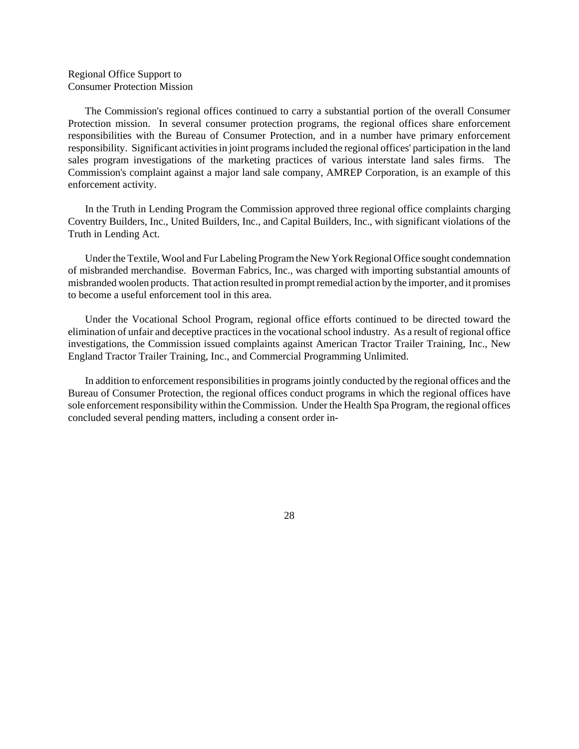# Regional Office Support to Consumer Protection Mission

The Commission's regional offices continued to carry a substantial portion of the overall Consumer Protection mission. In several consumer protection programs, the regional offices share enforcement responsibilities with the Bureau of Consumer Protection, and in a number have primary enforcement responsibility. Significant activities in joint programs included the regional offices' participation in the land sales program investigations of the marketing practices of various interstate land sales firms. The Commission's complaint against a major land sale company, AMREP Corporation, is an example of this enforcement activity.

In the Truth in Lending Program the Commission approved three regional office complaints charging Coventry Builders, Inc., United Builders, Inc., and Capital Builders, Inc., with significant violations of the Truth in Lending Act.

Under the Textile, Wool and Fur Labeling Program the New York Regional Office sought condemnation of misbranded merchandise. Boverman Fabrics, Inc., was charged with importing substantial amounts of misbranded woolen products. That action resulted in prompt remedial action by the importer, and it promises to become a useful enforcement tool in this area.

Under the Vocational School Program, regional office efforts continued to be directed toward the elimination of unfair and deceptive practices in the vocational school industry. As a result of regional office investigations, the Commission issued complaints against American Tractor Trailer Training, Inc., New England Tractor Trailer Training, Inc., and Commercial Programming Unlimited.

In addition to enforcement responsibilities in programs jointly conducted by the regional offices and the Bureau of Consumer Protection, the regional offices conduct programs in which the regional offices have sole enforcement responsibility within theCommission. Under the Health Spa Program, the regional offices concluded several pending matters, including a consent order in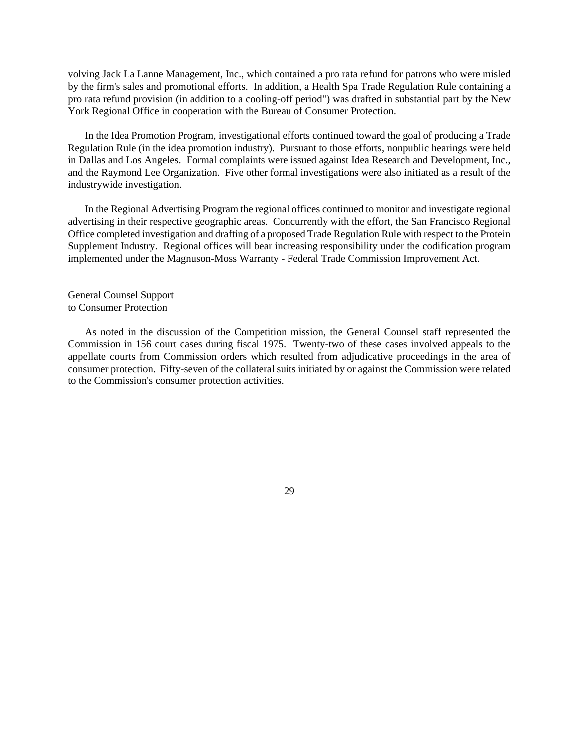volving Jack La Lanne Management, Inc., which contained a pro rata refund for patrons who were misled by the firm's sales and promotional efforts. In addition, a Health Spa Trade Regulation Rule containing a pro rata refund provision (in addition to a cooling-off period") was drafted in substantial part by the New York Regional Office in cooperation with the Bureau of Consumer Protection.

In the Idea Promotion Program, investigational efforts continued toward the goal of producing a Trade Regulation Rule (in the idea promotion industry). Pursuant to those efforts, nonpublic hearings were held in Dallas and Los Angeles. Formal complaints were issued against Idea Research and Development, Inc., and the Raymond Lee Organization. Five other formal investigations were also initiated as a result of the industrywide investigation.

In the Regional Advertising Program the regional offices continued to monitor and investigate regional advertising in their respective geographic areas. Concurrently with the effort, the San Francisco Regional Office completed investigation and drafting of a proposed Trade Regulation Rule with respect to the Protein Supplement Industry. Regional offices will bear increasing responsibility under the codification program implemented under the Magnuson-Moss Warranty - Federal Trade Commission Improvement Act.

General Counsel Support to Consumer Protection

As noted in the discussion of the Competition mission, the General Counsel staff represented the Commission in 156 court cases during fiscal 1975. Twenty-two of these cases involved appeals to the appellate courts from Commission orders which resulted from adjudicative proceedings in the area of consumer protection. Fifty-seven of the collateral suits initiated by or against the Commission were related to the Commission's consumer protection activities.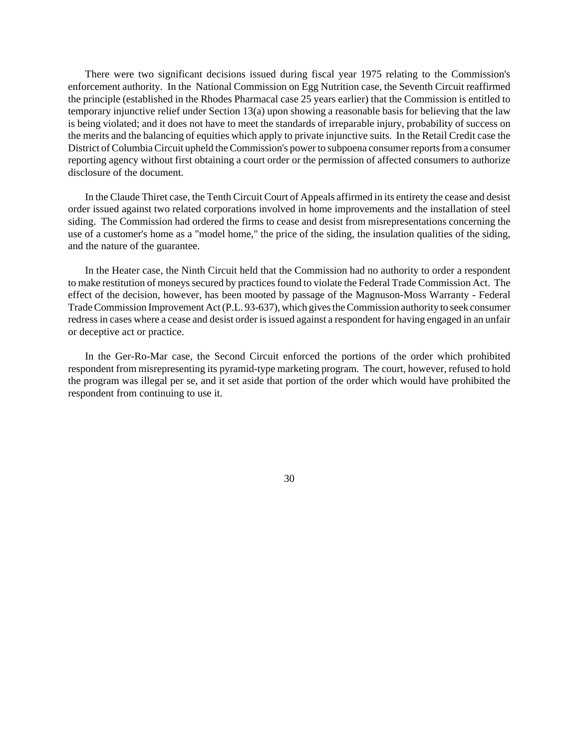There were two significant decisions issued during fiscal year 1975 relating to the Commission's enforcement authority. In the National Commission on Egg Nutrition case, the Seventh Circuit reaffirmed the principle (established in the Rhodes Pharmacal case 25 years earlier) that the Commission is entitled to temporary injunctive relief under Section 13(a) upon showing a reasonable basis for believing that the law is being violated; and it does not have to meet the standards of irreparable injury, probability of success on the merits and the balancing of equities which apply to private injunctive suits. In the Retail Credit case the District of Columbia Circuit upheld the Commission's power to subpoena consumer reports from a consumer reporting agency without first obtaining a court order or the permission of affected consumers to authorize disclosure of the document.

In the Claude Thiret case, the Tenth Circuit Court of Appeals affirmed in its entirety the cease and desist order issued against two related corporations involved in home improvements and the installation of steel siding. The Commission had ordered the firms to cease and desist from misrepresentations concerning the use of a customer's home as a "model home," the price of the siding, the insulation qualities of the siding, and the nature of the guarantee.

In the Heater case, the Ninth Circuit held that the Commission had no authority to order a respondent to make restitution of moneys secured by practices found to violate the Federal Trade Commission Act. The effect of the decision, however, has been mooted by passage of the Magnuson-Moss Warranty - Federal Trade Commission Improvement Act (P.L. 93-637), which gives the Commission authority to seek consumer redress in cases where a cease and desist order is issued against a respondent for having engaged in an unfair or deceptive act or practice.

In the Ger-Ro-Mar case, the Second Circuit enforced the portions of the order which prohibited respondent from misrepresenting its pyramid-type marketing program. The court, however, refused to hold the program was illegal per se, and it set aside that portion of the order which would have prohibited the respondent from continuing to use it.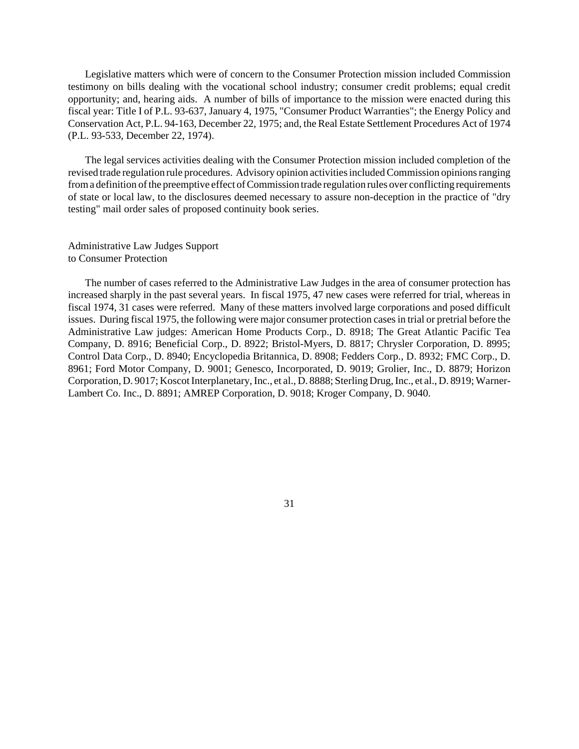Legislative matters which were of concern to the Consumer Protection mission included Commission testimony on bills dealing with the vocational school industry; consumer credit problems; equal credit opportunity; and, hearing aids. A number of bills of importance to the mission were enacted during this fiscal year: Title I of P.L. 93-637, January 4, 1975, "Consumer Product Warranties"; the Energy Policy and Conservation Act, P.L. 94-163, December 22, 1975; and, the Real Estate Settlement Procedures Act of 1974 (P.L. 93-533, December 22, 1974).

The legal services activities dealing with the Consumer Protection mission included completion of the revised trade regulation rule procedures. Advisory opinion activities included Commission opinions ranging from a definition of the preemptive effect of Commission trade regulation rules over conflicting requirements of state or local law, to the disclosures deemed necessary to assure non-deception in the practice of "dry testing" mail order sales of proposed continuity book series.

Administrative Law Judges Support to Consumer Protection

The number of cases referred to the Administrative Law Judges in the area of consumer protection has increased sharply in the past several years. In fiscal 1975, 47 new cases were referred for trial, whereas in fiscal 1974, 31 cases were referred. Many of these matters involved large corporations and posed difficult issues. During fiscal 1975, the following were major consumer protection cases in trial or pretrial before the Administrative Law judges: American Home Products Corp., D. 8918; The Great Atlantic Pacific Tea Company, D. 8916; Beneficial Corp., D. 8922; Bristol-Myers, D. 8817; Chrysler Corporation, D. 8995; Control Data Corp., D. 8940; Encyclopedia Britannica, D. 8908; Fedders Corp., D. 8932; FMC Corp., D. 8961; Ford Motor Company, D. 9001; Genesco, Incorporated, D. 9019; Grolier, Inc., D. 8879; Horizon Corporation, D. 9017; Koscot Interplanetary, Inc., et al., D. 8888; Sterling Drug, Inc., et al., D. 8919; Warner-Lambert Co. Inc., D. 8891; AMREP Corporation, D. 9018; Kroger Company, D. 9040.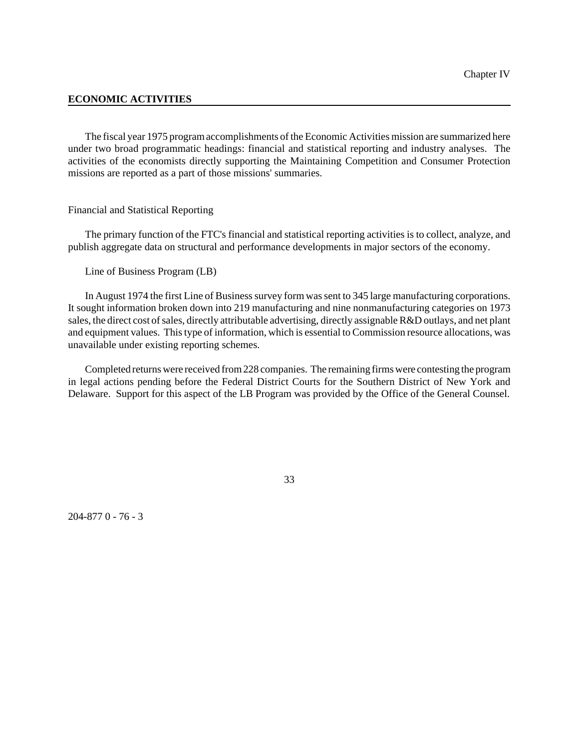# **ECONOMIC ACTIVITIES**

The fiscal year 1975 program accomplishments of the Economic Activities mission are summarized here under two broad programmatic headings: financial and statistical reporting and industry analyses. The activities of the economists directly supporting the Maintaining Competition and Consumer Protection missions are reported as a part of those missions' summaries.

## Financial and Statistical Reporting

The primary function of the FTC's financial and statistical reporting activities is to collect, analyze, and publish aggregate data on structural and performance developments in major sectors of the economy.

Line of Business Program (LB)

In August 1974 the first Line of Business survey form was sent to 345 large manufacturing corporations. It sought information broken down into 219 manufacturing and nine nonmanufacturing categories on 1973 sales, the direct cost of sales, directly attributable advertising, directly assignable R&D outlays, and net plant and equipment values. This type of information, which is essential to Commission resource allocations, was unavailable under existing reporting schemes.

Completed returnswere received from228 companies. The remaining firms were contesting the program in legal actions pending before the Federal District Courts for the Southern District of New York and Delaware. Support for this aspect of the LB Program was provided by the Office of the General Counsel.

204-877 0 - 76 - 3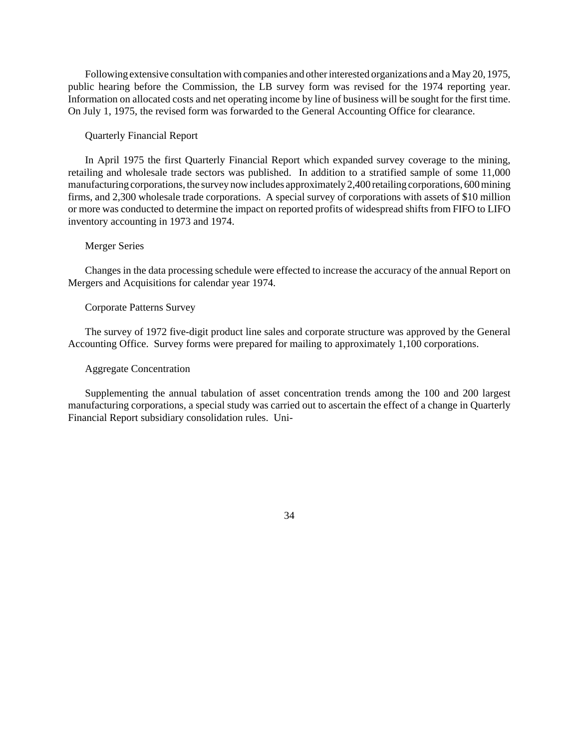Following extensive consultation with companies and other interested organizations and a May 20, 1975, public hearing before the Commission, the LB survey form was revised for the 1974 reporting year. Information on allocated costs and net operating income by line of business will be sought for the first time. On July 1, 1975, the revised form was forwarded to the General Accounting Office for clearance.

# Quarterly Financial Report

In April 1975 the first Quarterly Financial Report which expanded survey coverage to the mining, retailing and wholesale trade sectors was published. In addition to a stratified sample of some 11,000 manufacturing corporations, the survey now includes approximately 2,400 retailing corporations, 600 mining firms, and 2,300 wholesale trade corporations. A special survey of corporations with assets of \$10 million or more was conducted to determine the impact on reported profits of widespread shifts from FIFO to LIFO inventory accounting in 1973 and 1974.

## Merger Series

Changes in the data processing schedule were effected to increase the accuracy of the annual Report on Mergers and Acquisitions for calendar year 1974.

# Corporate Patterns Survey

The survey of 1972 five-digit product line sales and corporate structure was approved by the General Accounting Office. Survey forms were prepared for mailing to approximately 1,100 corporations.

### Aggregate Concentration

Supplementing the annual tabulation of asset concentration trends among the 100 and 200 largest manufacturing corporations, a special study was carried out to ascertain the effect of a change in Quarterly Financial Report subsidiary consolidation rules. Uni-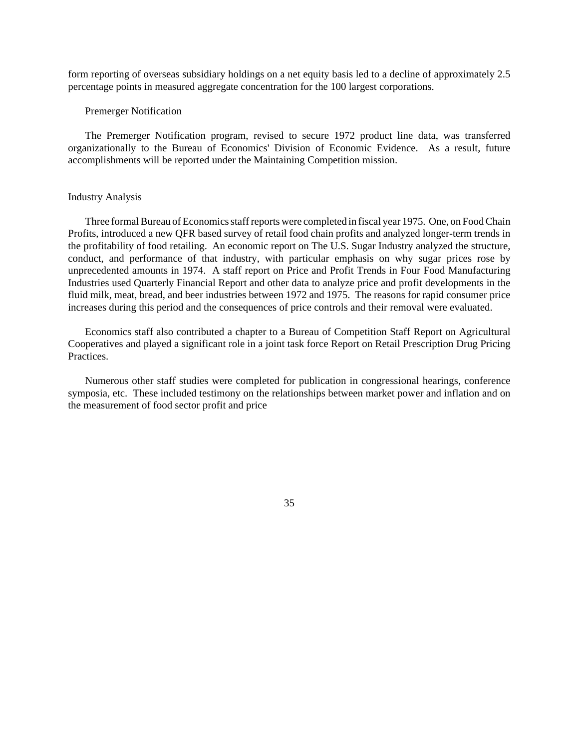form reporting of overseas subsidiary holdings on a net equity basis led to a decline of approximately 2.5 percentage points in measured aggregate concentration for the 100 largest corporations.

### Premerger Notification

The Premerger Notification program, revised to secure 1972 product line data, was transferred organizationally to the Bureau of Economics' Division of Economic Evidence. As a result, future accomplishments will be reported under the Maintaining Competition mission.

### Industry Analysis

Three formal Bureau of Economics staff reports were completed in fiscal year 1975. One, on Food Chain Profits, introduced a new QFR based survey of retail food chain profits and analyzed longer-term trends in the profitability of food retailing. An economic report on The U.S. Sugar Industry analyzed the structure, conduct, and performance of that industry, with particular emphasis on why sugar prices rose by unprecedented amounts in 1974. A staff report on Price and Profit Trends in Four Food Manufacturing Industries used Quarterly Financial Report and other data to analyze price and profit developments in the fluid milk, meat, bread, and beer industries between 1972 and 1975. The reasons for rapid consumer price increases during this period and the consequences of price controls and their removal were evaluated.

Economics staff also contributed a chapter to a Bureau of Competition Staff Report on Agricultural Cooperatives and played a significant role in a joint task force Report on Retail Prescription Drug Pricing Practices.

Numerous other staff studies were completed for publication in congressional hearings, conference symposia, etc. These included testimony on the relationships between market power and inflation and on the measurement of food sector profit and price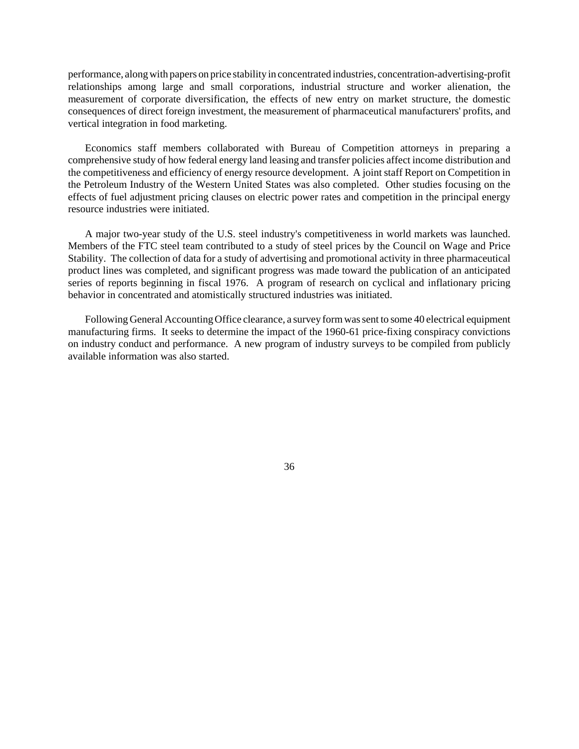performance, alongwith papers on price stability in concentrated industries, concentration-advertising-profit relationships among large and small corporations, industrial structure and worker alienation, the measurement of corporate diversification, the effects of new entry on market structure, the domestic consequences of direct foreign investment, the measurement of pharmaceutical manufacturers' profits, and vertical integration in food marketing.

Economics staff members collaborated with Bureau of Competition attorneys in preparing a comprehensive study of how federal energy land leasing and transfer policies affect income distribution and the competitiveness and efficiency of energy resource development. A joint staff Report on Competition in the Petroleum Industry of the Western United States was also completed. Other studies focusing on the effects of fuel adjustment pricing clauses on electric power rates and competition in the principal energy resource industries were initiated.

A major two-year study of the U.S. steel industry's competitiveness in world markets was launched. Members of the FTC steel team contributed to a study of steel prices by the Council on Wage and Price Stability. The collection of data for a study of advertising and promotional activity in three pharmaceutical product lines was completed, and significant progress was made toward the publication of an anticipated series of reports beginning in fiscal 1976. A program of research on cyclical and inflationary pricing behavior in concentrated and atomistically structured industries was initiated.

Following General AccountingOffice clearance, a survey formwassent to some 40 electrical equipment manufacturing firms. It seeks to determine the impact of the 1960-61 price-fixing conspiracy convictions on industry conduct and performance. A new program of industry surveys to be compiled from publicly available information was also started.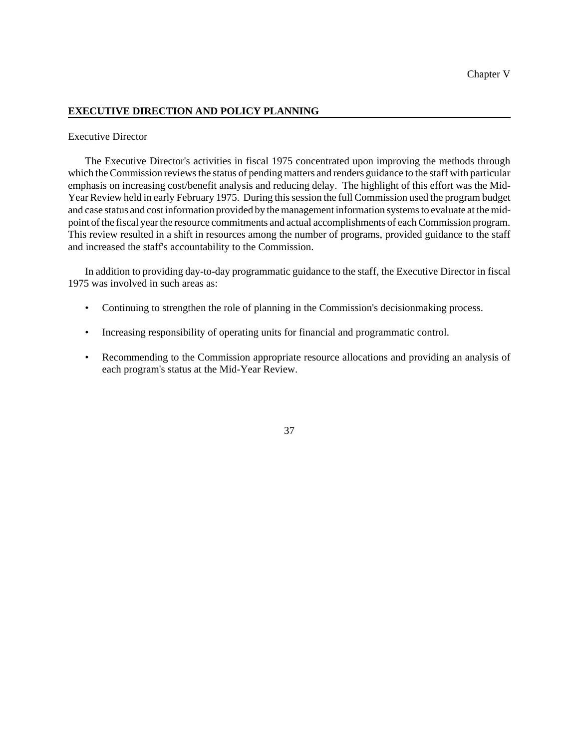# **EXECUTIVE DIRECTION AND POLICY PLANNING**

# Executive Director

The Executive Director's activities in fiscal 1975 concentrated upon improving the methods through which the Commission reviews the status of pending matters and renders guidance to the staff with particular emphasis on increasing cost/benefit analysis and reducing delay. The highlight of this effort was the Mid-Year Review held in early February 1975. During this session the full Commission used the program budget and case status and cost information provided by the management information systems to evaluate at the midpoint of the fiscal year the resource commitments and actual accomplishments of each Commission program. This review resulted in a shift in resources among the number of programs, provided guidance to the staff and increased the staff's accountability to the Commission.

In addition to providing day-to-day programmatic guidance to the staff, the Executive Director in fiscal 1975 was involved in such areas as:

- Continuing to strengthen the role of planning in the Commission's decisionmaking process.
- Increasing responsibility of operating units for financial and programmatic control.
- Recommending to the Commission appropriate resource allocations and providing an analysis of each program's status at the Mid-Year Review.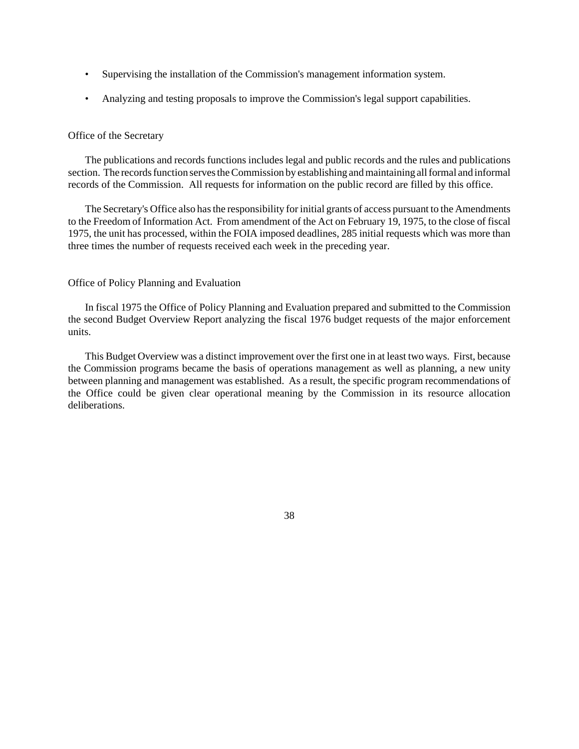- Supervising the installation of the Commission's management information system.
- Analyzing and testing proposals to improve the Commission's legal support capabilities.

# Office of the Secretary

The publications and records functions includes legal and public records and the rules and publications section. The records function serves the Commission by establishing and maintaining all formal and informal records of the Commission. All requests for information on the public record are filled by this office.

The Secretary's Office also hasthe responsibility forinitial grants of access pursuant to the Amendments to the Freedom of Information Act. From amendment of the Act on February 19, 1975, to the close of fiscal 1975, the unit has processed, within the FOIA imposed deadlines, 285 initial requests which was more than three times the number of requests received each week in the preceding year.

# Office of Policy Planning and Evaluation

In fiscal 1975 the Office of Policy Planning and Evaluation prepared and submitted to the Commission the second Budget Overview Report analyzing the fiscal 1976 budget requests of the major enforcement units.

This Budget Overview was a distinct improvement over the first one in at least two ways. First, because the Commission programs became the basis of operations management as well as planning, a new unity between planning and management was established. As a result, the specific program recommendations of the Office could be given clear operational meaning by the Commission in its resource allocation deliberations.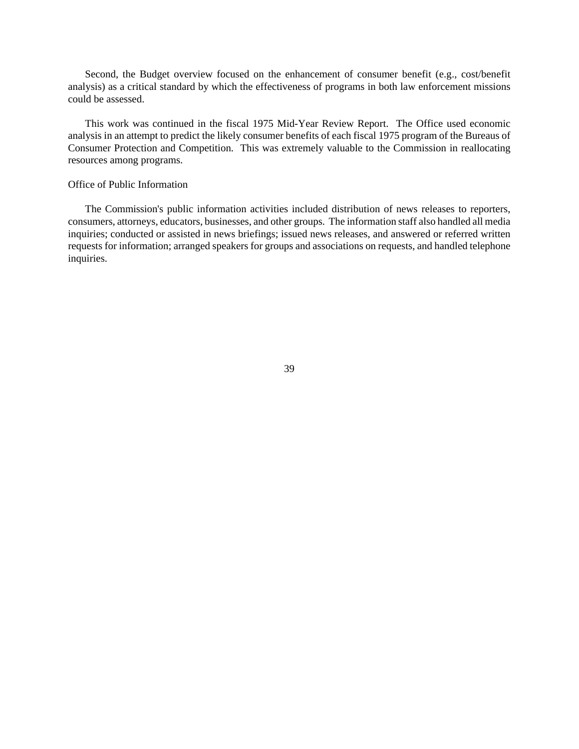Second, the Budget overview focused on the enhancement of consumer benefit (e.g., cost/benefit analysis) as a critical standard by which the effectiveness of programs in both law enforcement missions could be assessed.

This work was continued in the fiscal 1975 Mid-Year Review Report. The Office used economic analysis in an attempt to predict the likely consumer benefits of each fiscal 1975 program of the Bureaus of Consumer Protection and Competition. This was extremely valuable to the Commission in reallocating resources among programs.

# Office of Public Information

The Commission's public information activities included distribution of news releases to reporters, consumers, attorneys, educators, businesses, and other groups. The information staff also handled all media inquiries; conducted or assisted in news briefings; issued news releases, and answered or referred written requests for information; arranged speakers for groups and associations on requests, and handled telephone inquiries.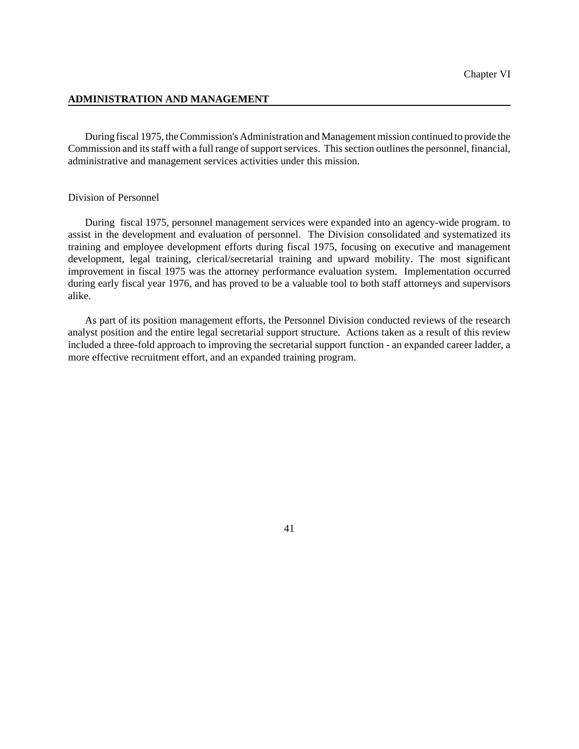# **ADMINISTRATION AND MANAGEMENT**

During fiscal 1975, the Commission's Administration and Management mission continued to provide the Commission and its staff with a full range of support services. This section outlines the personnel, financial, administrative and management services activities under this mission.

# Division of Personnel

During fiscal 1975, personnel management services were expanded into an agency-wide program. to assist in the development and evaluation of personnel. The Division consolidated and systematized its training and employee development efforts during fiscal 1975, focusing on executive and management development, legal training, clerical/secretarial training and upward mobility. The most significant improvement in fiscal 1975 was the attorney performance evaluation system. Implementation occurred during early fiscal year 1976, and has proved to be a valuable tool to both staff attorneys and supervisors alike.

As part of its position management efforts, the Personnel Division conducted reviews of the research analyst position and the entire legal secretarial support structure. Actions taken as a result of this review included a three-fold approach to improving the secretarial support function - an expanded career ladder, a more effective recruitment effort, and an expanded training program.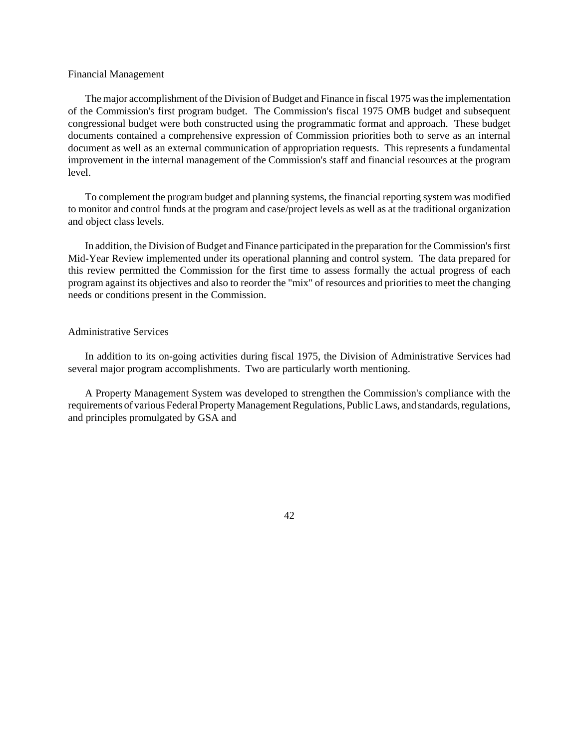### Financial Management

The major accomplishment of the Division of Budget and Finance in fiscal 1975 was the implementation of the Commission's first program budget. The Commission's fiscal 1975 OMB budget and subsequent congressional budget were both constructed using the programmatic format and approach. These budget documents contained a comprehensive expression of Commission priorities both to serve as an internal document as well as an external communication of appropriation requests. This represents a fundamental improvement in the internal management of the Commission's staff and financial resources at the program level.

To complement the program budget and planning systems, the financial reporting system was modified to monitor and control funds at the program and case/project levels as well as at the traditional organization and object class levels.

In addition, the Division of Budget and Finance participated in the preparation for the Commission's first Mid-Year Review implemented under its operational planning and control system. The data prepared for this review permitted the Commission for the first time to assess formally the actual progress of each program against its objectives and also to reorder the "mix" of resources and priorities to meet the changing needs or conditions present in the Commission.

#### Administrative Services

In addition to its on-going activities during fiscal 1975, the Division of Administrative Services had several major program accomplishments. Two are particularly worth mentioning.

A Property Management System was developed to strengthen the Commission's compliance with the requirements of various Federal Property Management Regulations, Public Laws, and standards, regulations, and principles promulgated by GSA and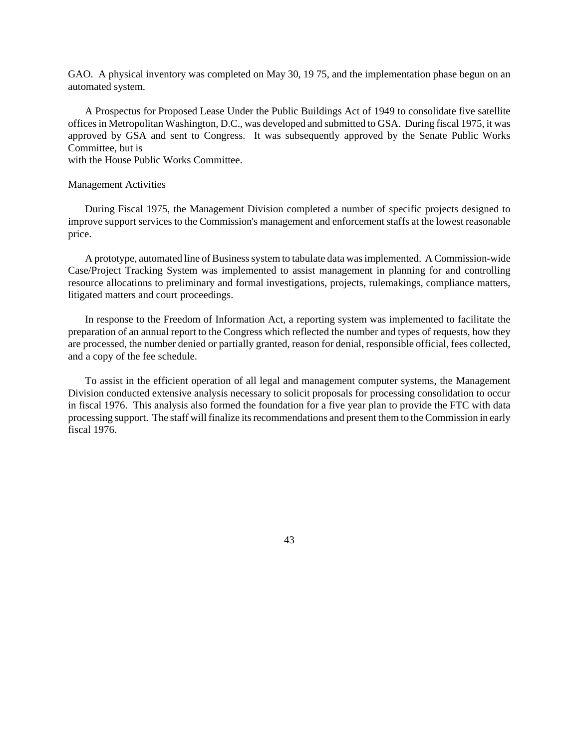GAO. A physical inventory was completed on May 30, 1975, and the implementation phase begun on an automated system.

A Prospectus for Proposed Lease Under the Public Buildings Act of 1949 to consolidate five satellite officesin Metropolitan Washington, D.C., was developed and submitted to GSA. During fiscal 1975, it was approved by GSA and sent to Congress. It was subsequently approved by the Senate Public Works Committee, but is

with the House Public Works Committee.

#### Management Activities

During Fiscal 1975, the Management Division completed a number of specific projects designed to improve support services to the Commission's management and enforcement staffs at the lowest reasonable price.

A prototype, automated line of Businesssystem to tabulate data wasimplemented. A Commission-wide Case/Project Tracking System was implemented to assist management in planning for and controlling resource allocations to preliminary and formal investigations, projects, rulemakings, compliance matters, litigated matters and court proceedings.

In response to the Freedom of Information Act, a reporting system was implemented to facilitate the preparation of an annual report to the Congress which reflected the number and types of requests, how they are processed, the number denied or partially granted, reason for denial, responsible official, fees collected, and a copy of the fee schedule.

To assist in the efficient operation of all legal and management computer systems, the Management Division conducted extensive analysis necessary to solicit proposals for processing consolidation to occur in fiscal 1976. This analysis also formed the foundation for a five year plan to provide the FTC with data processing support. The staff will finalize its recommendations and present them to the Commission in early fiscal 1976.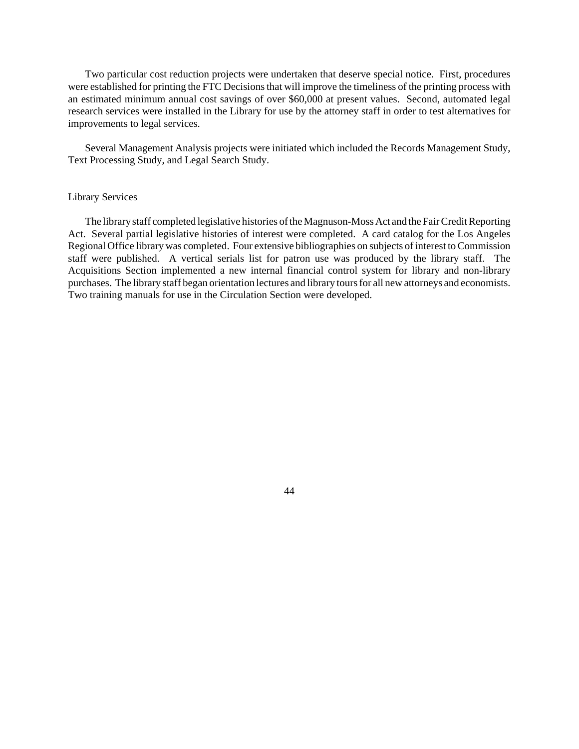Two particular cost reduction projects were undertaken that deserve special notice. First, procedures were established for printing the FTC Decisions that will improve the timeliness of the printing process with an estimated minimum annual cost savings of over \$60,000 at present values. Second, automated legal research services were installed in the Library for use by the attorney staff in order to test alternatives for improvements to legal services.

Several Management Analysis projects were initiated which included the Records Management Study, Text Processing Study, and Legal Search Study.

# Library Services

The library staff completed legislative histories of the Magnuson-Moss Act and the Fair Credit Reporting Act. Several partial legislative histories of interest were completed. A card catalog for the Los Angeles Regional Office library was completed. Four extensive bibliographies on subjects of interest to Commission staff were published. A vertical serials list for patron use was produced by the library staff. The Acquisitions Section implemented a new internal financial control system for library and non-library purchases. The library staff began orientation lectures and library tours for all new attorneys and economists. Two training manuals for use in the Circulation Section were developed.